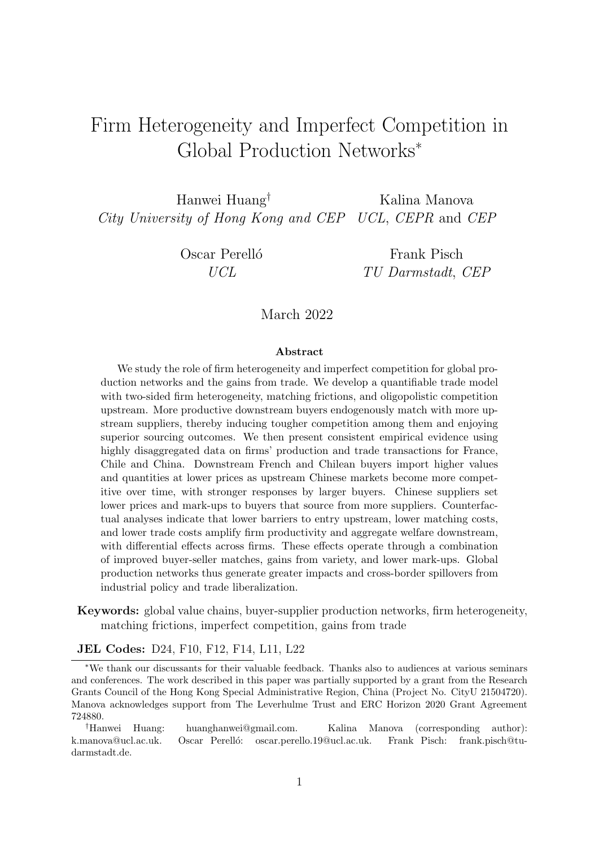# Firm Heterogeneity and Imperfect Competition in Global Production Networks<sup>∗</sup>

Hanwei Huang† Kalina Manova City University of Hong Kong and CEP UCL, CEPR and CEP

Oscar Perelló Frank Pisch UCL TU Darmstadt, CEP

March 2022

#### Abstract

We study the role of firm heterogeneity and imperfect competition for global production networks and the gains from trade. We develop a quantifiable trade model with two-sided firm heterogeneity, matching frictions, and oligopolistic competition upstream. More productive downstream buyers endogenously match with more upstream suppliers, thereby inducing tougher competition among them and enjoying superior sourcing outcomes. We then present consistent empirical evidence using highly disaggregated data on firms' production and trade transactions for France, Chile and China. Downstream French and Chilean buyers import higher values and quantities at lower prices as upstream Chinese markets become more competitive over time, with stronger responses by larger buyers. Chinese suppliers set lower prices and mark-ups to buyers that source from more suppliers. Counterfactual analyses indicate that lower barriers to entry upstream, lower matching costs, and lower trade costs amplify firm productivity and aggregate welfare downstream, with differential effects across firms. These effects operate through a combination of improved buyer-seller matches, gains from variety, and lower mark-ups. Global production networks thus generate greater impacts and cross-border spillovers from industrial policy and trade liberalization.

Keywords: global value chains, buyer-supplier production networks, firm heterogeneity, matching frictions, imperfect competition, gains from trade

#### JEL Codes: D24, F10, F12, F14, L11, L22

<sup>∗</sup>We thank our discussants for their valuable feedback. Thanks also to audiences at various seminars and conferences. The work described in this paper was partially supported by a grant from the Research Grants Council of the Hong Kong Special Administrative Region, China (Project No. CityU 21504720). Manova acknowledges support from The Leverhulme Trust and ERC Horizon 2020 Grant Agreement 724880.

†Hanwei Huang: huanghanwei@gmail.com. Kalina Manova (corresponding author): k.manova@ucl.ac.uk. Oscar Perelló: oscar.perello.19@ucl.ac.uk. Frank Pisch: frank.pisch@tudarmstadt.de.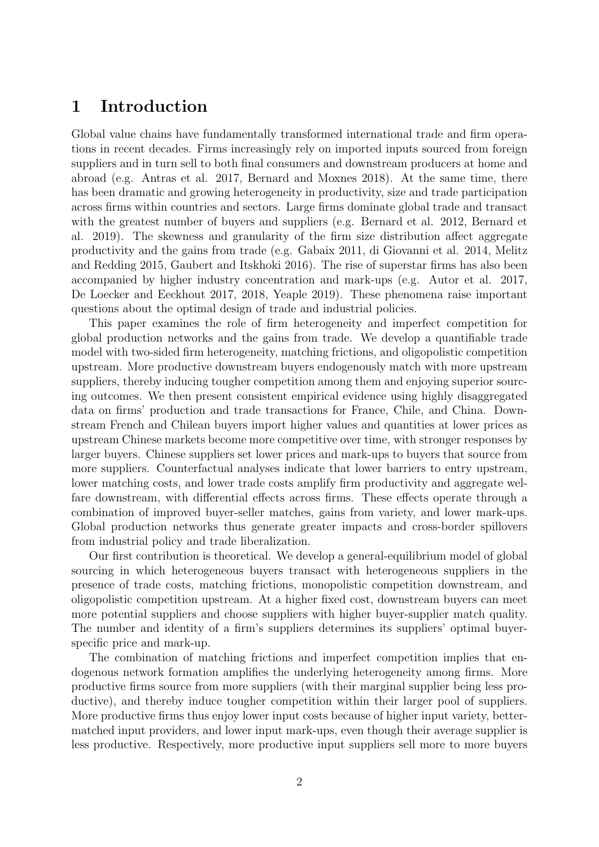# 1 Introduction

Global value chains have fundamentally transformed international trade and firm operations in recent decades. Firms increasingly rely on imported inputs sourced from foreign suppliers and in turn sell to both final consumers and downstream producers at home and abroad (e.g. Antras et al. 2017, Bernard and Moxnes 2018). At the same time, there has been dramatic and growing heterogeneity in productivity, size and trade participation across firms within countries and sectors. Large firms dominate global trade and transact with the greatest number of buyers and suppliers (e.g. Bernard et al. 2012, Bernard et al. 2019). The skewness and granularity of the firm size distribution affect aggregate productivity and the gains from trade (e.g. Gabaix 2011, di Giovanni et al. 2014, Melitz and Redding 2015, Gaubert and Itskhoki 2016). The rise of superstar firms has also been accompanied by higher industry concentration and mark-ups (e.g. Autor et al. 2017, De Loecker and Eeckhout 2017, 2018, Yeaple 2019). These phenomena raise important questions about the optimal design of trade and industrial policies.

This paper examines the role of firm heterogeneity and imperfect competition for global production networks and the gains from trade. We develop a quantifiable trade model with two-sided firm heterogeneity, matching frictions, and oligopolistic competition upstream. More productive downstream buyers endogenously match with more upstream suppliers, thereby inducing tougher competition among them and enjoying superior sourcing outcomes. We then present consistent empirical evidence using highly disaggregated data on firms' production and trade transactions for France, Chile, and China. Downstream French and Chilean buyers import higher values and quantities at lower prices as upstream Chinese markets become more competitive over time, with stronger responses by larger buyers. Chinese suppliers set lower prices and mark-ups to buyers that source from more suppliers. Counterfactual analyses indicate that lower barriers to entry upstream, lower matching costs, and lower trade costs amplify firm productivity and aggregate welfare downstream, with differential effects across firms. These effects operate through a combination of improved buyer-seller matches, gains from variety, and lower mark-ups. Global production networks thus generate greater impacts and cross-border spillovers from industrial policy and trade liberalization.

Our first contribution is theoretical. We develop a general-equilibrium model of global sourcing in which heterogeneous buyers transact with heterogeneous suppliers in the presence of trade costs, matching frictions, monopolistic competition downstream, and oligopolistic competition upstream. At a higher fixed cost, downstream buyers can meet more potential suppliers and choose suppliers with higher buyer-supplier match quality. The number and identity of a firm's suppliers determines its suppliers' optimal buyerspecific price and mark-up.

The combination of matching frictions and imperfect competition implies that endogenous network formation amplifies the underlying heterogeneity among firms. More productive firms source from more suppliers (with their marginal supplier being less productive), and thereby induce tougher competition within their larger pool of suppliers. More productive firms thus enjoy lower input costs because of higher input variety, bettermatched input providers, and lower input mark-ups, even though their average supplier is less productive. Respectively, more productive input suppliers sell more to more buyers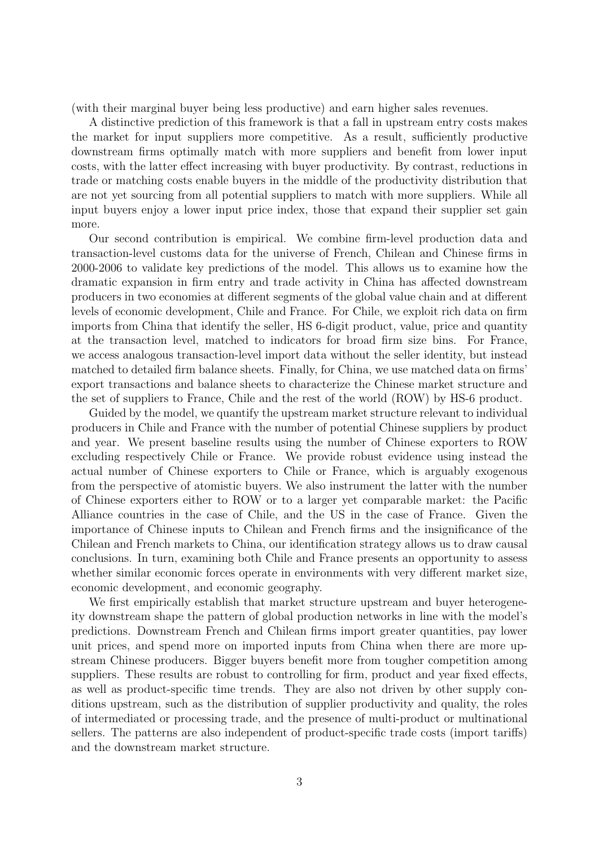(with their marginal buyer being less productive) and earn higher sales revenues.

A distinctive prediction of this framework is that a fall in upstream entry costs makes the market for input suppliers more competitive. As a result, sufficiently productive downstream firms optimally match with more suppliers and benefit from lower input costs, with the latter effect increasing with buyer productivity. By contrast, reductions in trade or matching costs enable buyers in the middle of the productivity distribution that are not yet sourcing from all potential suppliers to match with more suppliers. While all input buyers enjoy a lower input price index, those that expand their supplier set gain more.

Our second contribution is empirical. We combine firm-level production data and transaction-level customs data for the universe of French, Chilean and Chinese firms in 2000-2006 to validate key predictions of the model. This allows us to examine how the dramatic expansion in firm entry and trade activity in China has affected downstream producers in two economies at different segments of the global value chain and at different levels of economic development, Chile and France. For Chile, we exploit rich data on firm imports from China that identify the seller, HS 6-digit product, value, price and quantity at the transaction level, matched to indicators for broad firm size bins. For France, we access analogous transaction-level import data without the seller identity, but instead matched to detailed firm balance sheets. Finally, for China, we use matched data on firms' export transactions and balance sheets to characterize the Chinese market structure and the set of suppliers to France, Chile and the rest of the world (ROW) by HS-6 product.

Guided by the model, we quantify the upstream market structure relevant to individual producers in Chile and France with the number of potential Chinese suppliers by product and year. We present baseline results using the number of Chinese exporters to ROW excluding respectively Chile or France. We provide robust evidence using instead the actual number of Chinese exporters to Chile or France, which is arguably exogenous from the perspective of atomistic buyers. We also instrument the latter with the number of Chinese exporters either to ROW or to a larger yet comparable market: the Pacific Alliance countries in the case of Chile, and the US in the case of France. Given the importance of Chinese inputs to Chilean and French firms and the insignificance of the Chilean and French markets to China, our identification strategy allows us to draw causal conclusions. In turn, examining both Chile and France presents an opportunity to assess whether similar economic forces operate in environments with very different market size, economic development, and economic geography.

We first empirically establish that market structure upstream and buyer heterogeneity downstream shape the pattern of global production networks in line with the model's predictions. Downstream French and Chilean firms import greater quantities, pay lower unit prices, and spend more on imported inputs from China when there are more upstream Chinese producers. Bigger buyers benefit more from tougher competition among suppliers. These results are robust to controlling for firm, product and year fixed effects, as well as product-specific time trends. They are also not driven by other supply conditions upstream, such as the distribution of supplier productivity and quality, the roles of intermediated or processing trade, and the presence of multi-product or multinational sellers. The patterns are also independent of product-specific trade costs (import tariffs) and the downstream market structure.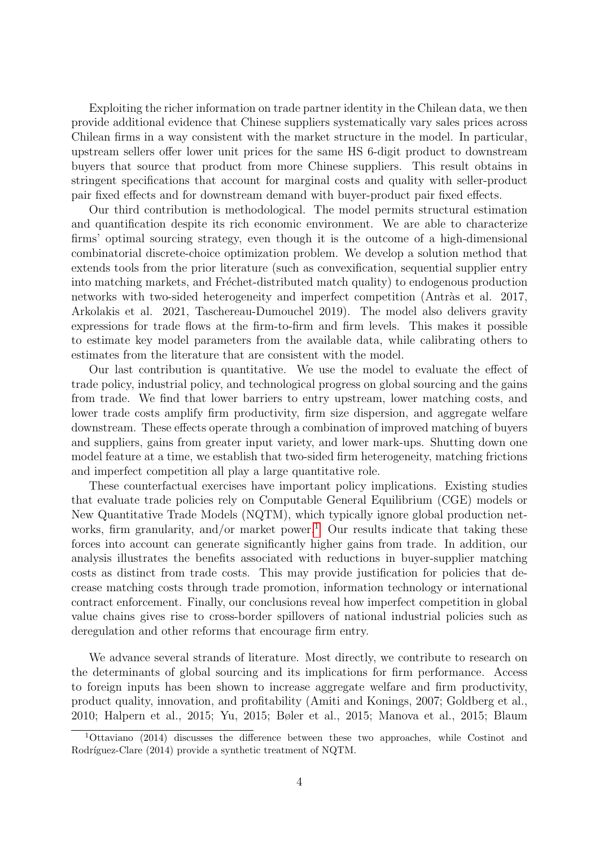Exploiting the richer information on trade partner identity in the Chilean data, we then provide additional evidence that Chinese suppliers systematically vary sales prices across Chilean firms in a way consistent with the market structure in the model. In particular, upstream sellers offer lower unit prices for the same HS 6-digit product to downstream buyers that source that product from more Chinese suppliers. This result obtains in stringent specifications that account for marginal costs and quality with seller-product pair fixed effects and for downstream demand with buyer-product pair fixed effects.

Our third contribution is methodological. The model permits structural estimation and quantification despite its rich economic environment. We are able to characterize firms' optimal sourcing strategy, even though it is the outcome of a high-dimensional combinatorial discrete-choice optimization problem. We develop a solution method that extends tools from the prior literature (such as convexification, sequential supplier entry into matching markets, and Fréchet-distributed match quality) to endogenous production networks with two-sided heterogeneity and imperfect competition (Antràs et al. 2017, Arkolakis et al. 2021, Taschereau-Dumouchel 2019). The model also delivers gravity expressions for trade flows at the firm-to-firm and firm levels. This makes it possible to estimate key model parameters from the available data, while calibrating others to estimates from the literature that are consistent with the model.

Our last contribution is quantitative. We use the model to evaluate the effect of trade policy, industrial policy, and technological progress on global sourcing and the gains from trade. We find that lower barriers to entry upstream, lower matching costs, and lower trade costs amplify firm productivity, firm size dispersion, and aggregate welfare downstream. These effects operate through a combination of improved matching of buyers and suppliers, gains from greater input variety, and lower mark-ups. Shutting down one model feature at a time, we establish that two-sided firm heterogeneity, matching frictions and imperfect competition all play a large quantitative role.

These counterfactual exercises have important policy implications. Existing studies that evaluate trade policies rely on Computable General Equilibrium (CGE) models or New Quantitative Trade Models (NQTM), which typically ignore global production net-works, firm granularity, and/or market power.<sup>[1](#page-3-0)</sup> Our results indicate that taking these forces into account can generate significantly higher gains from trade. In addition, our analysis illustrates the benefits associated with reductions in buyer-supplier matching costs as distinct from trade costs. This may provide justification for policies that decrease matching costs through trade promotion, information technology or international contract enforcement. Finally, our conclusions reveal how imperfect competition in global value chains gives rise to cross-border spillovers of national industrial policies such as deregulation and other reforms that encourage firm entry.

We advance several strands of literature. Most directly, we contribute to research on the determinants of global sourcing and its implications for firm performance. Access to foreign inputs has been shown to increase aggregate welfare and firm productivity, product quality, innovation, and profitability (Amiti and Konings, 2007; Goldberg et al., 2010; Halpern et al., 2015; Yu, 2015; Bøler et al., 2015; Manova et al., 2015; Blaum

<span id="page-3-0"></span><sup>1</sup>Ottaviano (2014) discusses the difference between these two approaches, while Costinot and Rodríguez-Clare (2014) provide a synthetic treatment of NQTM.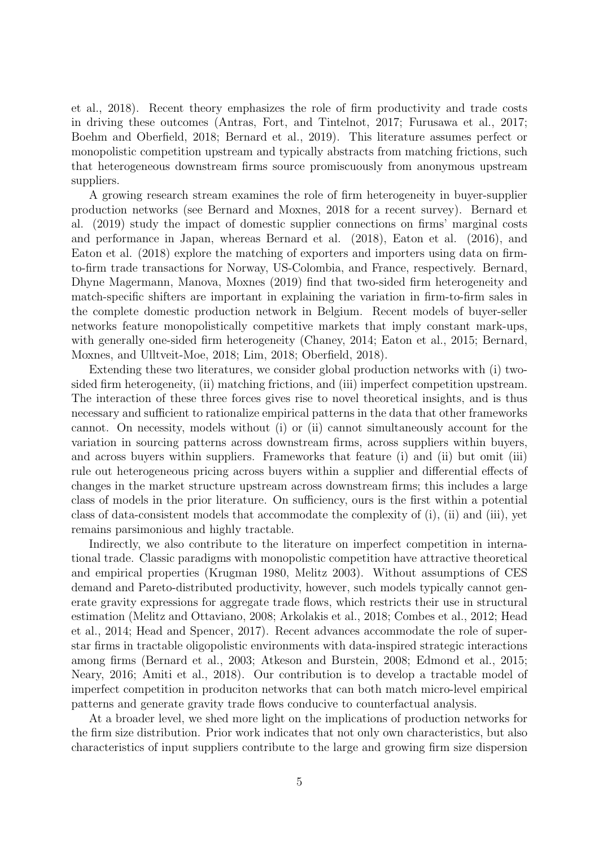et al., 2018). Recent theory emphasizes the role of firm productivity and trade costs in driving these outcomes (Antras, Fort, and Tintelnot, 2017; Furusawa et al., 2017; Boehm and Oberfield, 2018; Bernard et al., 2019). This literature assumes perfect or monopolistic competition upstream and typically abstracts from matching frictions, such that heterogeneous downstream firms source promiscuously from anonymous upstream suppliers.

A growing research stream examines the role of firm heterogeneity in buyer-supplier production networks (see Bernard and Moxnes, 2018 for a recent survey). Bernard et al. (2019) study the impact of domestic supplier connections on firms' marginal costs and performance in Japan, whereas Bernard et al. (2018), Eaton et al. (2016), and Eaton et al. (2018) explore the matching of exporters and importers using data on firmto-firm trade transactions for Norway, US-Colombia, and France, respectively. Bernard, Dhyne Magermann, Manova, Moxnes (2019) find that two-sided firm heterogeneity and match-specific shifters are important in explaining the variation in firm-to-firm sales in the complete domestic production network in Belgium. Recent models of buyer-seller networks feature monopolistically competitive markets that imply constant mark-ups, with generally one-sided firm heterogeneity (Chaney, 2014; Eaton et al., 2015; Bernard, Moxnes, and Ulltveit-Moe, 2018; Lim, 2018; Oberfield, 2018).

Extending these two literatures, we consider global production networks with (i) twosided firm heterogeneity, (ii) matching frictions, and (iii) imperfect competition upstream. The interaction of these three forces gives rise to novel theoretical insights, and is thus necessary and sufficient to rationalize empirical patterns in the data that other frameworks cannot. On necessity, models without (i) or (ii) cannot simultaneously account for the variation in sourcing patterns across downstream firms, across suppliers within buyers, and across buyers within suppliers. Frameworks that feature (i) and (ii) but omit (iii) rule out heterogeneous pricing across buyers within a supplier and differential effects of changes in the market structure upstream across downstream firms; this includes a large class of models in the prior literature. On sufficiency, ours is the first within a potential class of data-consistent models that accommodate the complexity of (i), (ii) and (iii), yet remains parsimonious and highly tractable.

Indirectly, we also contribute to the literature on imperfect competition in international trade. Classic paradigms with monopolistic competition have attractive theoretical and empirical properties (Krugman 1980, Melitz 2003). Without assumptions of CES demand and Pareto-distributed productivity, however, such models typically cannot generate gravity expressions for aggregate trade flows, which restricts their use in structural estimation (Melitz and Ottaviano, 2008; Arkolakis et al., 2018; Combes et al., 2012; Head et al., 2014; Head and Spencer, 2017). Recent advances accommodate the role of superstar firms in tractable oligopolistic environments with data-inspired strategic interactions among firms (Bernard et al., 2003; Atkeson and Burstein, 2008; Edmond et al., 2015; Neary, 2016; Amiti et al., 2018). Our contribution is to develop a tractable model of imperfect competition in produciton networks that can both match micro-level empirical patterns and generate gravity trade flows conducive to counterfactual analysis.

At a broader level, we shed more light on the implications of production networks for the firm size distribution. Prior work indicates that not only own characteristics, but also characteristics of input suppliers contribute to the large and growing firm size dispersion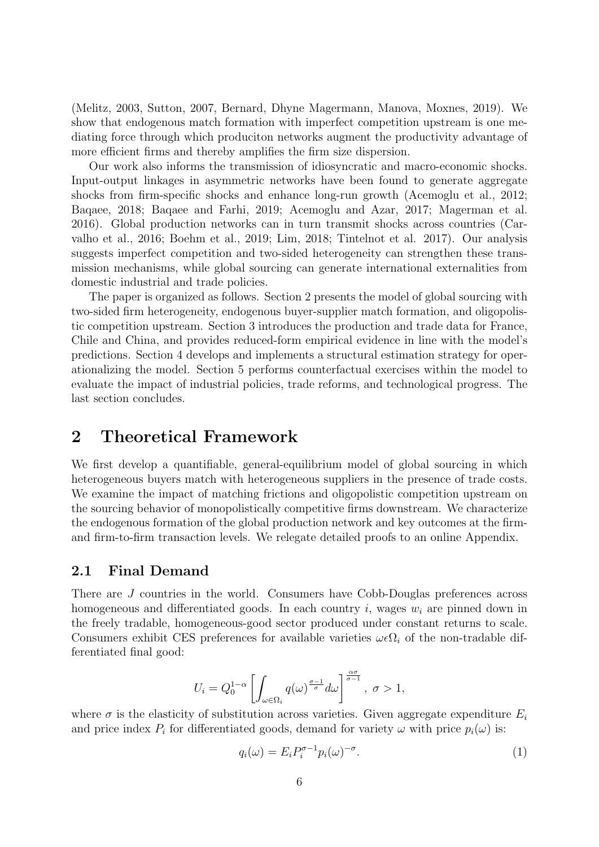(Melitz, 2003, Sutton, 2007, Bernard, Dhyne Magermann, Manova, Moxnes, 2019). We show that endogenous match formation with imperfect competition upstream is one mediating force through which produciton networks augment the productivity advantage of more efficient firms and thereby amplifies the firm size dispersion.

Our work also informs the transmission of idiosyncratic and macro-economic shocks. Input-output linkages in asymmetric networks have been found to generate aggregate shocks from firm-specific shocks and enhance long-run growth (Acemoglu et al., 2012; Baqaee, 2018; Baqaee and Farhi, 2019; Acemoglu and Azar, 2017; Magerman et al. 2016). Global production networks can in turn transmit shocks across countries (Carvalho et al., 2016; Boehm et al., 2019; Lim, 2018; Tintelnot et al. 2017). Our analysis suggests imperfect competition and two-sided heterogeneity can strengthen these transmission mechanisms, while global sourcing can generate international externalities from domestic industrial and trade policies.

The paper is organized as follows. Section 2 presents the model of global sourcing with two-sided firm heterogeneity, endogenous buyer-supplier match formation, and oligopolistic competition upstream. Section 3 introduces the production and trade data for France, Chile and China, and provides reduced-form empirical evidence in line with the model's predictions. Section 4 develops and implements a structural estimation strategy for operationalizing the model. Section 5 performs counterfactual exercises within the model to evaluate the impact of industrial policies, trade reforms, and technological progress. The last section concludes.

# 2 Theoretical Framework

We first develop a quantifiable, general-equilibrium model of global sourcing in which heterogeneous buyers match with heterogeneous suppliers in the presence of trade costs. We examine the impact of matching frictions and oligopolistic competition upstream on the sourcing behavior of monopolistically competitive firms downstream. We characterize the endogenous formation of the global production network and key outcomes at the firmand firm-to-firm transaction levels. We relegate detailed proofs to an online Appendix.

## 2.1 Final Demand

There are J countries in the world. Consumers have Cobb-Douglas preferences across homogeneous and differentiated goods. In each country i, wages  $w_i$  are pinned down in the freely tradable, homogeneous-good sector produced under constant returns to scale. Consumers exhibit CES preferences for available varieties  $\omega \epsilon \Omega_i$  of the non-tradable differentiated final good:

$$
U_i = Q_0^{1-\alpha} \left[ \int_{\omega \in \Omega_i} q(\omega)^{\frac{\sigma-1}{\sigma}} d\omega \right]^{\frac{\alpha \sigma}{\sigma-1}}, \ \sigma > 1,
$$

where  $\sigma$  is the elasticity of substitution across varieties. Given aggregate expenditure  $E_i$ and price index  $P_i$  for differentiated goods, demand for variety  $\omega$  with price  $p_i(\omega)$  is:

$$
q_i(\omega) = E_i P_i^{\sigma - 1} p_i(\omega)^{-\sigma}.
$$
\n(1)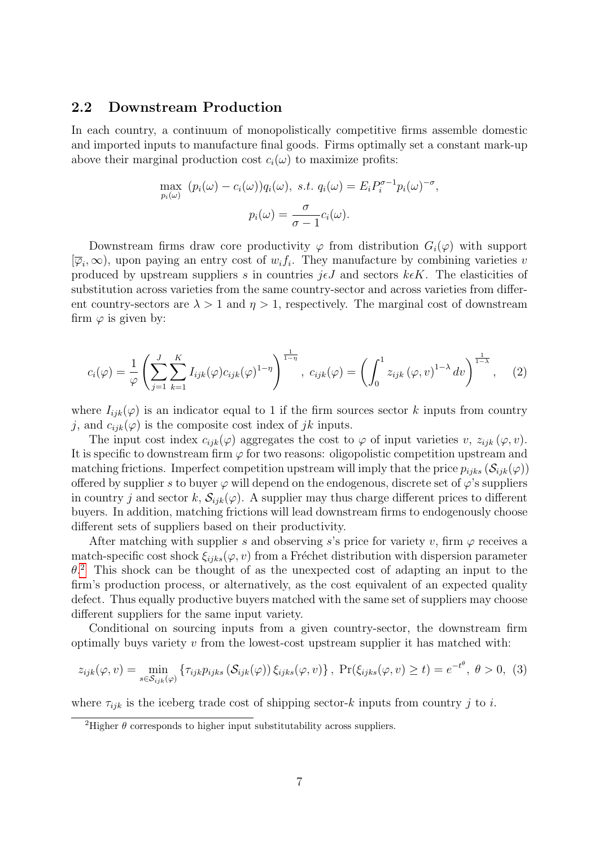## 2.2 Downstream Production

In each country, a continuum of monopolistically competitive firms assemble domestic and imported inputs to manufacture final goods. Firms optimally set a constant mark-up above their marginal production cost  $c_i(\omega)$  to maximize profits:

$$
\max_{p_i(\omega)} (p_i(\omega) - c_i(\omega))q_i(\omega), \text{ s.t. } q_i(\omega) = E_i P_i^{\sigma-1} p_i(\omega)^{-\sigma},
$$

$$
p_i(\omega) = \frac{\sigma}{\sigma - 1} c_i(\omega).
$$

Downstream firms draw core productivity  $\varphi$  from distribution  $G_i(\varphi)$  with support  $[\overline{\varphi}_i,\infty)$ , upon paying an entry cost of  $w_if_i$ . They manufacture by combining varieties v produced by upstream suppliers s in countries  $j \epsilon J$  and sectors  $k \epsilon K$ . The elasticities of substitution across varieties from the same country-sector and across varieties from different country-sectors are  $\lambda > 1$  and  $\eta > 1$ , respectively. The marginal cost of downstream firm  $\varphi$  is given by:

<span id="page-6-2"></span>
$$
c_i(\varphi) = \frac{1}{\varphi} \left( \sum_{j=1}^J \sum_{k=1}^K I_{ijk}(\varphi) c_{ijk}(\varphi)^{1-\eta} \right)^{\frac{1}{1-\eta}}, \ c_{ijk}(\varphi) = \left( \int_0^1 z_{ijk} (\varphi, v)^{1-\lambda} dv \right)^{\frac{1}{1-\lambda}}, \quad (2)
$$

where  $I_{ijk}(\varphi)$  is an indicator equal to 1 if the firm sources sector k inputs from country j, and  $c_{ijk}(\varphi)$  is the composite cost index of jk inputs.

The input cost index  $c_{ijk}(\varphi)$  aggregates the cost to  $\varphi$  of input varieties v,  $z_{ijk}(\varphi, v)$ . It is specific to downstream firm  $\varphi$  for two reasons: oligopolistic competition upstream and matching frictions. Imperfect competition upstream will imply that the price  $p_{iiks}(\mathcal{S}_{ijk}(\varphi))$ offered by supplier s to buyer  $\varphi$  will depend on the endogenous, discrete set of  $\varphi$ 's suppliers in country j and sector k,  $\mathcal{S}_{ijk}(\varphi)$ . A supplier may thus charge different prices to different buyers. In addition, matching frictions will lead downstream firms to endogenously choose different sets of suppliers based on their productivity.

After matching with supplier s and observing s's price for variety v, firm  $\varphi$  receives a match-specific cost shock  $\xi_{iiks}(\varphi, v)$  from a Fréchet distribution with dispersion parameter  $\theta$ <sup>[2](#page-6-0)</sup>. This shock can be thought of as the unexpected cost of adapting an input to the firm's production process, or alternatively, as the cost equivalent of an expected quality defect. Thus equally productive buyers matched with the same set of suppliers may choose different suppliers for the same input variety.

Conditional on sourcing inputs from a given country-sector, the downstream firm optimally buys variety  $v$  from the lowest-cost upstream supplier it has matched with:

<span id="page-6-1"></span>
$$
z_{ijk}(\varphi, v) = \min_{s \in \mathcal{S}_{ijk}(\varphi)} \left\{ \tau_{ijk} p_{ijks} \left( \mathcal{S}_{ijk}(\varphi) \right) \xi_{ijks}(\varphi, v) \right\}, \ \Pr(\xi_{ijks}(\varphi, v) \ge t) = e^{-t^{\theta}}, \ \theta > 0, \tag{3}
$$

where  $\tau_{ijk}$  is the iceberg trade cost of shipping sector-k inputs from country j to i.

<span id="page-6-0"></span><sup>&</sup>lt;sup>2</sup>Higher  $\theta$  corresponds to higher input substitutability across suppliers.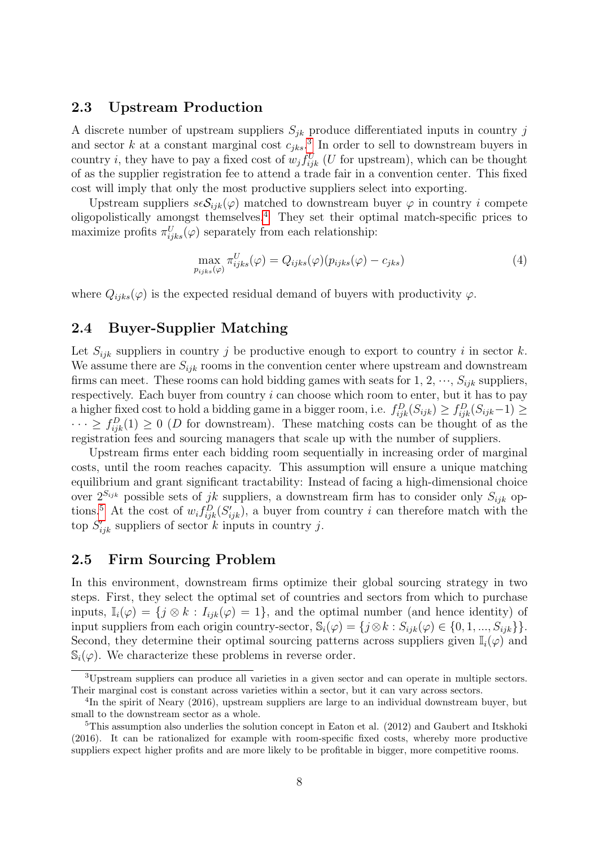### 2.3 Upstream Production

A discrete number of upstream suppliers  $S_{jk}$  produce differentiated inputs in country j and sector k at a constant marginal cost  $c_{jks}$ <sup>[3](#page-7-0)</sup>. In order to sell to downstream buyers in country *i*, they have to pay a fixed cost of  $w_j f_{ijk}^U$  (U for upstream), which can be thought of as the supplier registration fee to attend a trade fair in a convention center. This fixed cost will imply that only the most productive suppliers select into exporting.

Upstream suppliers  $s\epsilon S_{ijk}(\varphi)$  matched to downstream buyer  $\varphi$  in country i compete oligopolistically amongst themselves.[4](#page-7-1) They set their optimal match-specific prices to maximize profits  $\pi_{ijks}^U(\varphi)$  separately from each relationship:

<span id="page-7-3"></span>
$$
\max_{p_{ijks}(\varphi)} \pi_{ijks}^U(\varphi) = Q_{ijks}(\varphi)(p_{ijks}(\varphi) - c_{jks}) \tag{4}
$$

where  $Q_{iiks}(\varphi)$  is the expected residual demand of buyers with productivity  $\varphi$ .

# 2.4 Buyer-Supplier Matching

Let  $S_{ijk}$  suppliers in country j be productive enough to export to country i in sector k. We assume there are  $S_{ijk}$  rooms in the convention center where upstream and downstream firms can meet. These rooms can hold bidding games with seats for 1, 2,  $\cdots$ ,  $S_{ijk}$  suppliers, respectively. Each buyer from country  $i$  can choose which room to enter, but it has to pay a higher fixed cost to hold a bidding game in a bigger room, i.e.  $f_{ijk}^D(S_{ijk}) \ge f_{ijk}^D(S_{ijk}-1) \ge$  $\cdots \ge f_{ijk}^D(1) \ge 0$  (D for downstream). These matching costs can be thought of as the registration fees and sourcing managers that scale up with the number of suppliers.

Upstream firms enter each bidding room sequentially in increasing order of marginal costs, until the room reaches capacity. This assumption will ensure a unique matching equilibrium and grant significant tractability: Instead of facing a high-dimensional choice over  $2^{S_{ijk}}$  possible sets of jk suppliers, a downstream firm has to consider only  $S_{ijk}$  op-tions.<sup>[5](#page-7-2)</sup> At the cost of  $w_i f_{ijk}^D (S'_{ijk})$ , a buyer from country i can therefore match with the top  $S'_{ijk}$  suppliers of sector k inputs in country j.

## 2.5 Firm Sourcing Problem

In this environment, downstream firms optimize their global sourcing strategy in two steps. First, they select the optimal set of countries and sectors from which to purchase inputs,  $\mathbb{I}_i(\varphi) = \{j \otimes k : I_{ijk}(\varphi) = 1\}$ , and the optimal number (and hence identity) of input suppliers from each origin country-sector,  $\mathbb{S}_i(\varphi) = \{j \otimes k : S_{ijk}(\varphi) \in \{0, 1, ..., S_{ijk}\}\}.$ Second, they determine their optimal sourcing patterns across suppliers given  $\mathbb{I}_i(\varphi)$  and  $\mathbb{S}_i(\varphi)$ . We characterize these problems in reverse order.

<span id="page-7-0"></span><sup>3</sup>Upstream suppliers can produce all varieties in a given sector and can operate in multiple sectors. Their marginal cost is constant across varieties within a sector, but it can vary across sectors.

<span id="page-7-1"></span><sup>&</sup>lt;sup>4</sup>In the spirit of Neary (2016), upstream suppliers are large to an individual downstream buyer, but small to the downstream sector as a whole.

<span id="page-7-2"></span><sup>&</sup>lt;sup>5</sup>This assumption also underlies the solution concept in Eaton et al. (2012) and Gaubert and Itskhoki (2016). It can be rationalized for example with room-specific fixed costs, whereby more productive suppliers expect higher profits and are more likely to be profitable in bigger, more competitive rooms.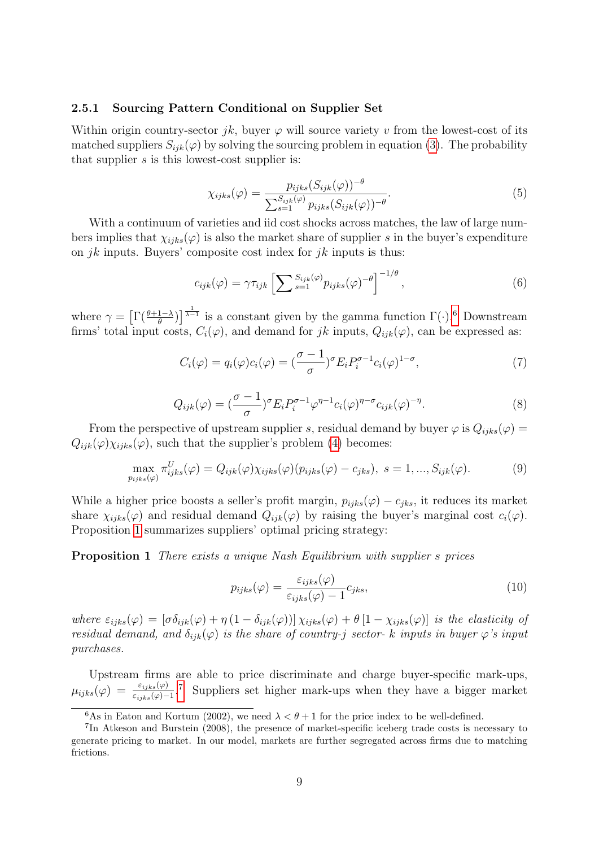#### 2.5.1 Sourcing Pattern Conditional on Supplier Set

Within origin country-sector jk, buyer  $\varphi$  will source variety v from the lowest-cost of its matched suppliers  $S_{ijk}(\varphi)$  by solving the sourcing problem in equation [\(3\)](#page-6-1). The probability that supplier  $s$  is this lowest-cost supplier is:

$$
\chi_{ijks}(\varphi) = \frac{p_{ijks}(S_{ijk}(\varphi))^{-\theta}}{\sum_{s=1}^{S_{ijk}(\varphi)} p_{ijks}(S_{ijk}(\varphi))^{-\theta}}.
$$
\n(5)

With a continuum of varieties and iid cost shocks across matches, the law of large numbers implies that  $\chi_{i\dot{j}ks}(\varphi)$  is also the market share of supplier s in the buyer's expenditure on *jk* inputs. Buyers' composite cost index for *jk* inputs is thus:

<span id="page-8-3"></span>
$$
c_{ijk}(\varphi) = \gamma \tau_{ijk} \left[ \sum_{s=1}^{S_{ijk}(\varphi)} p_{ijks}(\varphi)^{-\theta} \right]^{-1/\theta}, \qquad (6)
$$

where  $\gamma = \left[ \Gamma(\frac{\theta+1-\lambda}{\theta}) \right]^{\frac{1}{\lambda-1}}$  is a constant given by the gamma function  $\Gamma(\cdot)$ .<sup>[6](#page-8-0)</sup> Downstream firms' total input costs,  $C_i(\varphi)$ , and demand for jk inputs,  $Q_{ijk}(\varphi)$ , can be expressed as:

$$
C_i(\varphi) = q_i(\varphi)c_i(\varphi) = \left(\frac{\sigma - 1}{\sigma}\right)^{\sigma} E_i P_i^{\sigma - 1} c_i(\varphi)^{1 - \sigma},\tag{7}
$$

$$
Q_{ijk}(\varphi) = \left(\frac{\sigma - 1}{\sigma}\right)^{\sigma} E_i P_i^{\sigma - 1} \varphi^{\eta - 1} c_i(\varphi)^{\eta - \sigma} c_{ijk}(\varphi)^{-\eta}.
$$
\n(8)

From the perspective of upstream supplier s, residual demand by buyer  $\varphi$  is  $Q_{ijks}(\varphi)$  =  $Q_{ijk}(\varphi)\chi_{ijks}(\varphi)$ , such that the supplier's problem [\(4\)](#page-7-3) becomes:

$$
\max_{p_{ijks}(\varphi)} \pi_{ijks}^U(\varphi) = Q_{ijk}(\varphi) \chi_{ijks}(\varphi) (p_{ijks}(\varphi) - c_{jks}), \ s = 1, ..., S_{ijk}(\varphi). \tag{9}
$$

While a higher price boosts a seller's profit margin,  $p_{ijks}(\varphi) - c_{jks}$ , it reduces its market share  $\chi_{i j k s}(\varphi)$  and residual demand  $Q_{i j k}(\varphi)$  by raising the buyer's marginal cost  $c_i(\varphi)$ . Proposition [1](#page-8-1) summarizes suppliers' optimal pricing strategy:

<span id="page-8-1"></span>**Proposition 1** There exists a unique Nash Equilibrium with supplier s prices

<span id="page-8-4"></span>
$$
p_{ijks}(\varphi) = \frac{\varepsilon_{ijks}(\varphi)}{\varepsilon_{ijks}(\varphi) - 1} c_{jks},\tag{10}
$$

where  $\varepsilon_{i j k s}(\varphi) = [\sigma \delta_{i j k}(\varphi) + \eta (1 - \delta_{i j k}(\varphi))] \chi_{i j k s}(\varphi) + \theta [1 - \chi_{i j k s}(\varphi)]$  is the elasticity of residual demand, and  $\delta_{ijk}(\varphi)$  is the share of country-j sector- k inputs in buyer  $\varphi$ 's input purchases.

Upstream firms are able to price discriminate and charge buyer-specific mark-ups,  $\mu_{ijks}(\varphi) = \frac{\varepsilon_{ijks}(\varphi)}{\varepsilon_{ijks}(\varphi)-1}$ . Suppliers set higher mark-ups when they have a bigger market

<span id="page-8-2"></span><span id="page-8-0"></span><sup>&</sup>lt;sup>6</sup>As in Eaton and Kortum (2002), we need  $\lambda < \theta + 1$  for the price index to be well-defined.

<sup>7</sup> In Atkeson and Burstein (2008), the presence of market-specific iceberg trade costs is necessary to generate pricing to market. In our model, markets are further segregated across firms due to matching frictions.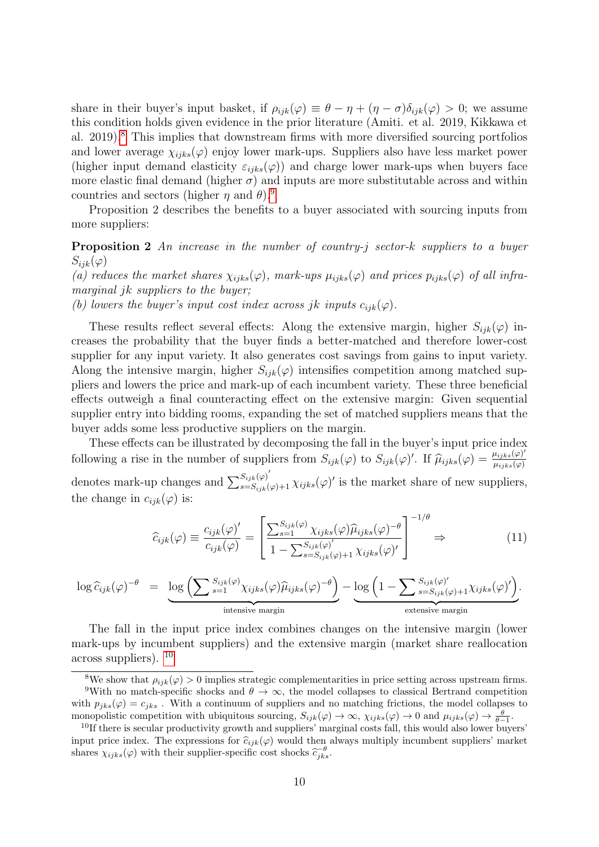share in their buyer's input basket, if  $\rho_{ijk}(\varphi) \equiv \theta - \eta + (\eta - \sigma)\delta_{ijk}(\varphi) > 0$ ; we assume this condition holds given evidence in the prior literature (Amiti. et al. 2019, Kikkawa et al. 2019).[8](#page-9-0) This implies that downstream firms with more diversified sourcing portfolios and lower average  $\chi_{iiks}(\varphi)$  enjoy lower mark-ups. Suppliers also have less market power (higher input demand elasticity  $\varepsilon_{iiks}(\varphi)$ ) and charge lower mark-ups when buyers face more elastic final demand (higher  $\sigma$ ) and inputs are more substitutable across and within countries and sectors (higher  $\eta$  and  $\theta$ ).<sup>[9](#page-9-1)</sup>

Proposition 2 describes the benefits to a buyer associated with sourcing inputs from more suppliers:

<span id="page-9-3"></span>Proposition 2 An increase in the number of country-j sector-k suppliers to a buyer  $S_{ijk}(\varphi)$ 

(a) reduces the market shares  $\chi_{ijks}(\varphi)$ , mark-ups  $\mu_{ijks}(\varphi)$  and prices  $p_{ijks}(\varphi)$  of all inframarginal *jk* suppliers to the buyer;

(b) lowers the buyer's input cost index across jk inputs  $c_{ijk}(\varphi)$ .

These results reflect several effects: Along the extensive margin, higher  $S_{ijk}(\varphi)$  increases the probability that the buyer finds a better-matched and therefore lower-cost supplier for any input variety. It also generates cost savings from gains to input variety. Along the intensive margin, higher  $S_{ijk}(\varphi)$  intensifies competition among matched suppliers and lowers the price and mark-up of each incumbent variety. These three beneficial effects outweigh a final counteracting effect on the extensive margin: Given sequential supplier entry into bidding rooms, expanding the set of matched suppliers means that the buyer adds some less productive suppliers on the margin.

These effects can be illustrated by decomposing the fall in the buyer's input price index following a rise in the number of suppliers from  $S_{ijk}(\varphi)$  to  $S_{ijk}(\varphi)'$ . If  $\hat{\mu}_{ijks}(\varphi) = \frac{\mu_{ijks}(\varphi)}{\mu_{ijks}(\varphi)}$  $\mu_{ijks}(\varphi)$ denotes mark-up changes and  $\sum_{s=S_{ijk}(\varphi)^{'}}^{S_{ijk}(\varphi)^{'}}$  is the market share of new suppliers, the change in  $c_{ijk}(\varphi)$  is:

$$
\widehat{c}_{ijk}(\varphi) \equiv \frac{c_{ijk}(\varphi)'}{c_{ijk}(\varphi)} = \left[ \frac{\sum_{s=1}^{S_{ijk}(\varphi)} \chi_{ijks}(\varphi) \widehat{\mu}_{ijks}(\varphi)^{-\theta}}{1 - \sum_{s=S_{ijk}(\varphi)+1}^{S_{ijk}(\varphi)'} \chi_{ijks}(\varphi)'} \right]^{-1/\theta} \Rightarrow (11)
$$

$$
\log \widehat{c}_{ijk}(\varphi)^{-\theta} = \underbrace{\log \left( \sum_{s=1}^{S_{ijk}(\varphi)} \chi_{ijks}(\varphi) \widehat{\mu}_{ijks}(\varphi)^{-\theta} \right)}_{\text{intensive margin}} - \underbrace{\log \left( 1 - \sum_{s=S_{ijk}(\varphi)'}^{S_{ijk}(\varphi)'} \chi_{ijks}(\varphi)^{\prime} \right)}_{\text{extensive margin}}.
$$

The fall in the input price index combines changes on the intensive margin (lower mark-ups by incumbent suppliers) and the extensive margin (market share reallocation across suppliers). [10](#page-9-2)

<span id="page-9-1"></span><span id="page-9-0"></span><sup>&</sup>lt;sup>8</sup>We show that  $\rho_{ijk}(\varphi) > 0$  implies strategic complementarities in price setting across upstream firms.

<sup>&</sup>lt;sup>9</sup>With no match-specific shocks and  $\theta \to \infty$ , the model collapses to classical Bertrand competition with  $p_{iks}(\varphi) = c_{iks}$ . With a continuum of suppliers and no matching frictions, the model collapses to monopolistic competition with ubiquitous sourcing,  $S_{ijk}(\varphi) \to \infty$ ,  $\chi_{ijks}(\varphi) \to 0$  and  $\mu_{ijks}(\varphi) \to \frac{\theta}{\theta-1}$ .

<span id="page-9-2"></span><sup>&</sup>lt;sup>10</sup>If there is secular productivity growth and suppliers' marginal costs fall, this would also lower buyers' input price index. The expressions for  $\hat{c}_{ijk}(\varphi)$  would then always multiply incumbent suppliers' market shares  $\chi_{ijks}(\varphi)$  with their supplier-specific cost shocks  $\widetilde{c}_{jks}^{\ \theta}$ .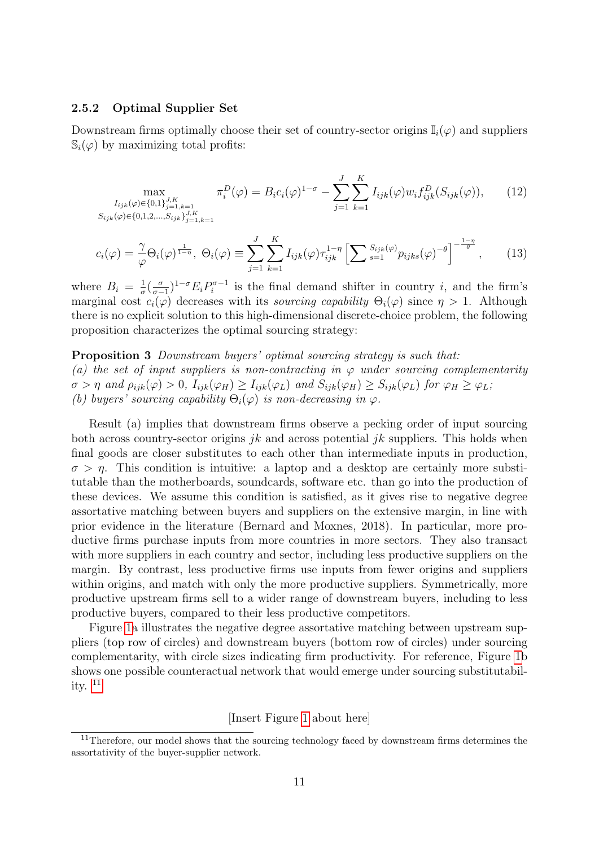#### 2.5.2 Optimal Supplier Set

Downstream firms optimally choose their set of country-sector origins  $\mathbb{I}_i(\varphi)$  and suppliers  $\mathbb{S}_i(\varphi)$  by maximizing total profits:

$$
\max_{\substack{I_{ijk}(\varphi) \in \{0,1\}_{j=1,k=1}^{J,K} \\ S_{ijk}(\varphi) \in \{0,1,2,\ldots,S_{ijk}\}_{j=1,k=1}^{J,K}}} \pi_i^D(\varphi) = B_i c_i(\varphi)^{1-\sigma} - \sum_{j=1}^J \sum_{k=1}^K I_{ijk}(\varphi) w_i f_{ijk}^D(S_{ijk}(\varphi)), \qquad (12)
$$

<span id="page-10-2"></span>
$$
c_i(\varphi) = \frac{\gamma}{\varphi} \Theta_i(\varphi)^{\frac{1}{1-\eta}}, \ \Theta_i(\varphi) \equiv \sum_{j=1}^J \sum_{k=1}^K I_{ijk}(\varphi) \tau_{ijk}^{1-\eta} \left[ \sum_{s=1}^{S_{ijk}(\varphi)} p_{ijks}(\varphi)^{-\theta} \right]^{-\frac{1-\eta}{\theta}}, \tag{13}
$$

where  $B_i = \frac{1}{\sigma}$  $rac{1}{\sigma}(\frac{\sigma}{\sigma-}$  $\frac{\sigma}{\sigma-1}$ <sup>1- $\sigma E_i P_i^{\sigma-1}$ </sup>  $i^{\sigma-1}$  is the final demand shifter in country *i*, and the firm's marginal cost  $c_i(\varphi)$  decreases with its *sourcing capability*  $\Theta_i(\varphi)$  since  $\eta > 1$ . Although there is no explicit solution to this high-dimensional discrete-choice problem, the following proposition characterizes the optimal sourcing strategy:

# <span id="page-10-1"></span>**Proposition 3** Downstream buyers' optimal sourcing strategy is such that: (a) the set of input suppliers is non-contracting in  $\varphi$  under sourcing complementarity  $\sigma > \eta$  and  $\rho_{ijk}(\varphi) > 0$ ,  $I_{ijk}(\varphi_H) \geq I_{ijk}(\varphi_L)$  and  $S_{ijk}(\varphi_H) \geq S_{ijk}(\varphi_L)$  for  $\varphi_H \geq \varphi_L$ ; (b) buyers' sourcing capability  $\Theta_i(\varphi)$  is non-decreasing in  $\varphi$ .

Result (a) implies that downstream firms observe a pecking order of input sourcing both across country-sector origins jk and across potential jk suppliers. This holds when final goods are closer substitutes to each other than intermediate inputs in production,  $\sigma > \eta$ . This condition is intuitive: a laptop and a desktop are certainly more substitutable than the motherboards, soundcards, software etc. than go into the production of these devices. We assume this condition is satisfied, as it gives rise to negative degree assortative matching between buyers and suppliers on the extensive margin, in line with prior evidence in the literature (Bernard and Moxnes, 2018). In particular, more productive firms purchase inputs from more countries in more sectors. They also transact with more suppliers in each country and sector, including less productive suppliers on the margin. By contrast, less productive firms use inputs from fewer origins and suppliers within origins, and match with only the more productive suppliers. Symmetrically, more productive upstream firms sell to a wider range of downstream buyers, including to less productive buyers, compared to their less productive competitors.

Figure [1a](#page-29-0) illustrates the negative degree assortative matching between upstream suppliers (top row of circles) and downstream buyers (bottom row of circles) under sourcing complementarity, with circle sizes indicating firm productivity. For reference, Figure [1b](#page-29-0) shows one possible counteractual network that would emerge under sourcing substitutability.  $11$ 

#### [Insert Figure [1](#page-29-0) about here]

<span id="page-10-0"></span> $11$ Therefore, our model shows that the sourcing technology faced by downstream firms determines the assortativity of the buyer-supplier network.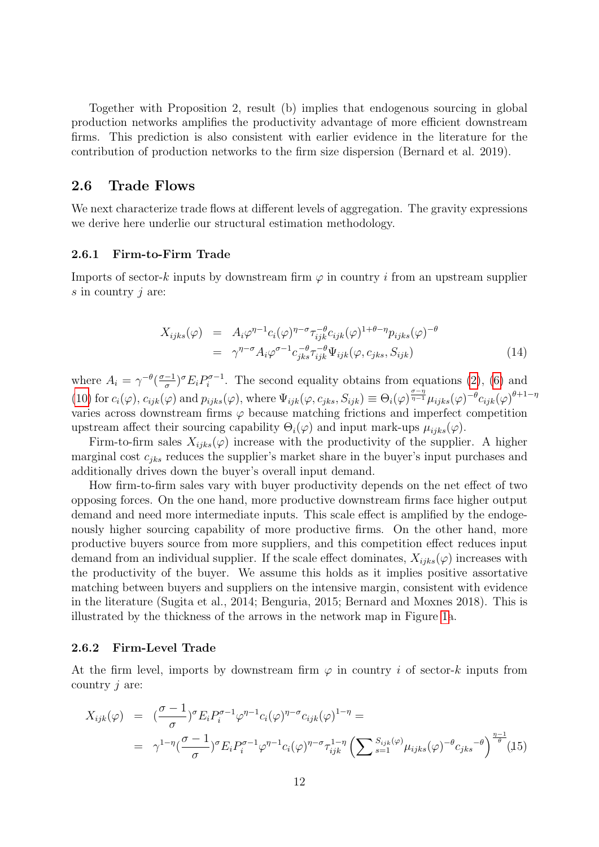Together with Proposition 2, result (b) implies that endogenous sourcing in global production networks amplifies the productivity advantage of more efficient downstream firms. This prediction is also consistent with earlier evidence in the literature for the contribution of production networks to the firm size dispersion (Bernard et al. 2019).

#### 2.6 Trade Flows

We next characterize trade flows at different levels of aggregation. The gravity expressions we derive here underlie our structural estimation methodology.

#### 2.6.1 Firm-to-Firm Trade

Imports of sector-k inputs by downstream firm  $\varphi$  in country i from an upstream supplier  $s$  in country  $j$  are:

$$
X_{ijks}(\varphi) = A_i \varphi^{\eta-1} c_i(\varphi)^{\eta-\sigma} \tau_{ijk}^{-\theta} c_{ijk}(\varphi)^{1+\theta-\eta} p_{ijks}(\varphi)^{-\theta}
$$
  

$$
= \gamma^{\eta-\sigma} A_i \varphi^{\sigma-1} c_{jks}^{-\theta} \tau_{ijk}^{-\theta} \Psi_{ijk}(\varphi, c_{jks}, S_{ijk})
$$
(14)

where  $A_i = \gamma^{-\theta} \left( \frac{\sigma - 1}{\sigma} \right)$  $\frac{-1}{\sigma}$ )<sup> $\sigma$ </sup> $E_i P_i^{\sigma-1}$  $i^{\sigma-1}$ . The second equality obtains from equations [\(2\)](#page-6-2), [\(6\)](#page-8-3) and [\(10\)](#page-8-4) for  $c_i(\varphi)$ ,  $c_{ijk}(\varphi)$  and  $p_{ijks}(\varphi)$ , where  $\Psi_{ijk}(\varphi, c_{jks}, S_{ijk}) \equiv \Theta_i(\varphi)^{\frac{\sigma - \eta}{\eta - 1}} \mu_{ijks}(\varphi)^{-\theta} c_{ijk}(\varphi)^{\theta + 1 - \eta}$ varies across downstream firms  $\varphi$  because matching frictions and imperfect competition upstream affect their sourcing capability  $\Theta_i(\varphi)$  and input mark-ups  $\mu_{iiks}(\varphi)$ .

Firm-to-firm sales  $X_{ijks}(\varphi)$  increase with the productivity of the supplier. A higher marginal cost  $c_{iks}$  reduces the supplier's market share in the buyer's input purchases and additionally drives down the buyer's overall input demand.

How firm-to-firm sales vary with buyer productivity depends on the net effect of two opposing forces. On the one hand, more productive downstream firms face higher output demand and need more intermediate inputs. This scale effect is amplified by the endogenously higher sourcing capability of more productive firms. On the other hand, more productive buyers source from more suppliers, and this competition effect reduces input demand from an individual supplier. If the scale effect dominates,  $X_{iiks}(\varphi)$  increases with the productivity of the buyer. We assume this holds as it implies positive assortative matching between buyers and suppliers on the intensive margin, consistent with evidence in the literature (Sugita et al., 2014; Benguria, 2015; Bernard and Moxnes 2018). This is illustrated by the thickness of the arrows in the network map in Figure [1a](#page-29-0).

#### 2.6.2 Firm-Level Trade

At the firm level, imports by downstream firm  $\varphi$  in country i of sector-k inputs from country  $j$  are:

$$
X_{ijk}(\varphi) = \left(\frac{\sigma - 1}{\sigma}\right)^{\sigma} E_i P_i^{\sigma - 1} \varphi^{\eta - 1} c_i(\varphi)^{\eta - \sigma} c_{ijk}(\varphi)^{1 - \eta} =
$$
  

$$
= \gamma^{1 - \eta} \left(\frac{\sigma - 1}{\sigma}\right)^{\sigma} E_i P_i^{\sigma - 1} \varphi^{\eta - 1} c_i(\varphi)^{\eta - \sigma} \tau_{ijk}^{1 - \eta} \left(\sum s_{ijk}(\varphi) \mu_{ijks}(\varphi)^{-\theta} c_{jks}^{-\theta}\right)^{\frac{\eta - 1}{\theta}} (15)
$$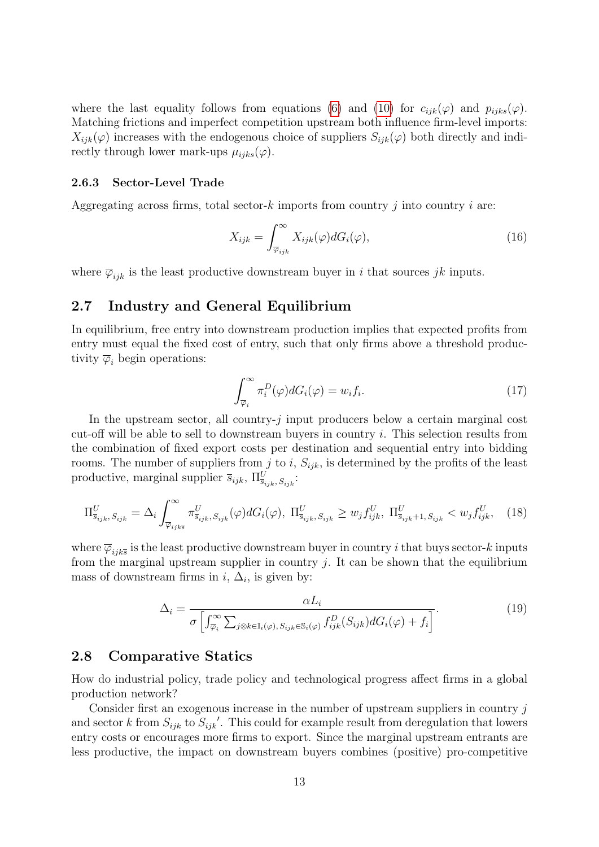where the last equality follows from equations [\(6\)](#page-8-3) and [\(10\)](#page-8-4) for  $c_{ijk}(\varphi)$  and  $p_{ijks}(\varphi)$ . Matching frictions and imperfect competition upstream both influence firm-level imports:  $X_{ijk}(\varphi)$  increases with the endogenous choice of suppliers  $S_{ijk}(\varphi)$  both directly and indirectly through lower mark-ups  $\mu_{iiks}(\varphi)$ .

#### 2.6.3 Sector-Level Trade

Aggregating across firms, total sector-k imports from country  $i$  into country  $i$  are:

$$
X_{ijk} = \int_{\overline{\varphi}_{ijk}}^{\infty} X_{ijk}(\varphi) dG_i(\varphi), \qquad (16)
$$

where  $\overline{\varphi}_{ijk}$  is the least productive downstream buyer in i that sources jk inputs.

# 2.7 Industry and General Equilibrium

In equilibrium, free entry into downstream production implies that expected profits from entry must equal the fixed cost of entry, such that only firms above a threshold productivity  $\overline{\varphi}_i$  begin operations:

$$
\int_{\overline{\varphi}_i}^{\infty} \pi_i^D(\varphi) dG_i(\varphi) = w_i f_i.
$$
\n(17)

In the upstream sector, all country- $j$  input producers below a certain marginal cost cut-off will be able to sell to downstream buyers in country i. This selection results from the combination of fixed export costs per destination and sequential entry into bidding rooms. The number of suppliers from j to i,  $S_{ijk}$ , is determined by the profits of the least productive, marginal supplier  $\overline{s}_{ijk}$ ,  $\Pi_{\overline{s}_{ijk}, S_{ijk}}^U$ :

$$
\Pi_{\overline{s}_{ijk}, S_{ijk}}^U = \Delta_i \int_{\overline{\varphi}_{ijk\overline{s}}}^{\infty} \pi_{\overline{s}_{ijk}, S_{ijk}}^U(\varphi) dG_i(\varphi), \ \Pi_{\overline{s}_{ijk}, S_{ijk}}^U \ge w_j f_{ijk}^U, \ \Pi_{\overline{s}_{ijk}+1, S_{ijk}}^U < w_j f_{ijk}^U, \tag{18}
$$

where  $\overline{\varphi}_{ijk\overline{s}}$  is the least productive downstream buyer in country i that buys sector-k inputs from the marginal upstream supplier in country  $j$ . It can be shown that the equilibrium mass of downstream firms in  $i, \Delta_i$ , is given by:

$$
\Delta_i = \frac{\alpha L_i}{\sigma \left[ \int_{\overline{\varphi}_i}^{\infty} \sum_{j \otimes k \in \mathbb{I}_i(\varphi), S_{ijk} \in \mathbb{S}_i(\varphi)} f_{ijk}^D(S_{ijk}) dG_i(\varphi) + f_i \right]}.
$$
(19)

### 2.8 Comparative Statics

How do industrial policy, trade policy and technological progress affect firms in a global production network?

Consider first an exogenous increase in the number of upstream suppliers in country  $j$ and sector k from  $S_{ijk}$  to  $S_{ijk}'$ . This could for example result from deregulation that lowers entry costs or encourages more firms to export. Since the marginal upstream entrants are less productive, the impact on downstream buyers combines (positive) pro-competitive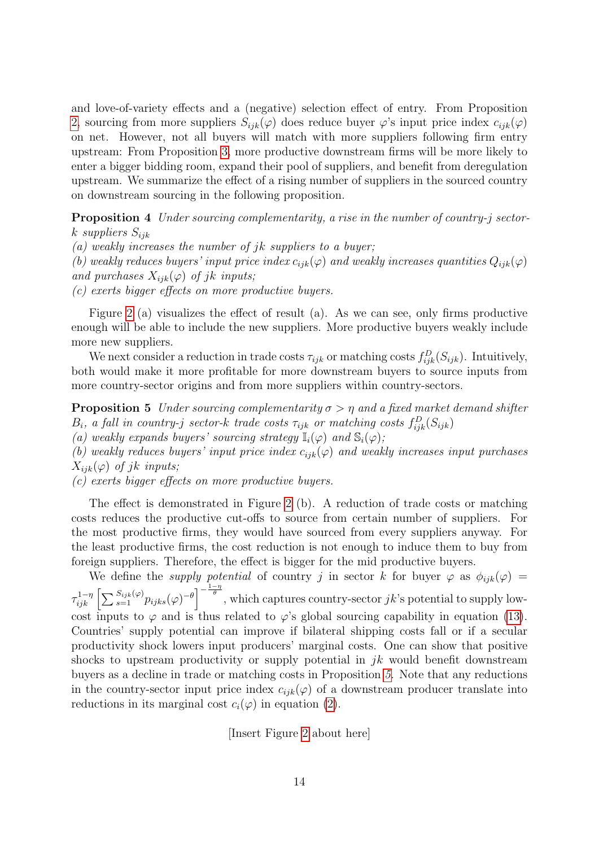and love-of-variety effects and a (negative) selection effect of entry. From Proposition [2,](#page-9-3) sourcing from more suppliers  $S_{ijk}(\varphi)$  does reduce buyer  $\varphi$ 's input price index  $c_{ijk}(\varphi)$ on net. However, not all buyers will match with more suppliers following firm entry upstream: From Proposition [3,](#page-10-1) more productive downstream firms will be more likely to enter a bigger bidding room, expand their pool of suppliers, and benefit from deregulation upstream. We summarize the effect of a rising number of suppliers in the sourced country on downstream sourcing in the following proposition.

<span id="page-13-1"></span>Proposition 4 Under sourcing complementarity, a rise in the number of country-j sectork suppliers  $S_{ijk}$ 

(a) weakly increases the number of jk suppliers to a buyer;

(b) weakly reduces buyers' input price index  $c_{ijk}(\varphi)$  and weakly increases quantities  $Q_{ijk}(\varphi)$ and purchases  $X_{ijk}(\varphi)$  of jk inputs;

(c) exerts bigger effects on more productive buyers.

Figure [2](#page-29-1) (a) visualizes the effect of result (a). As we can see, only firms productive enough will be able to include the new suppliers. More productive buyers weakly include more new suppliers.

We next consider a reduction in trade costs  $\tau_{ijk}$  or matching costs  $f_{ijk}^D(S_{ijk})$ . Intuitively, both would make it more profitable for more downstream buyers to source inputs from more country-sector origins and from more suppliers within country-sectors.

<span id="page-13-0"></span>**Proposition 5** Under sourcing complementarity  $\sigma > \eta$  and a fixed market demand shifter  $B_i$ , a fall in country-j sector-k trade costs  $\tau_{ijk}$  or matching costs  $f_{ijk}^D(S_{ijk})$ 

(a) weakly expands buyers' sourcing strategy  $\mathbb{I}_i(\varphi)$  and  $\mathbb{S}_i(\varphi)$ ;

(b) weakly reduces buyers' input price index  $c_{ijk}(\varphi)$  and weakly increases input purchases  $X_{ijk}(\varphi)$  of jk inputs;

(c) exerts bigger effects on more productive buyers.

The effect is demonstrated in Figure [2](#page-29-1) (b). A reduction of trade costs or matching costs reduces the productive cut-offs to source from certain number of suppliers. For the most productive firms, they would have sourced from every suppliers anyway. For the least productive firms, the cost reduction is not enough to induce them to buy from foreign suppliers. Therefore, the effect is bigger for the mid productive buyers.

We define the *supply potential* of country j in sector k for buyer  $\varphi$  as  $\phi_{ijk}(\varphi)$  =  $\tau_{ijk}^{1-\eta}\left[\sum_{s=1}^{S_{ijk}(\varphi)}p_{ijks}(\varphi)^{-\theta}\right]^{-\frac{1-\eta}{\theta}},$  which captures country-sector jk's potential to supply lowcost inputs to  $\varphi$  and is thus related to  $\varphi$ 's global sourcing capability in equation [\(13\)](#page-10-2). Countries' supply potential can improve if bilateral shipping costs fall or if a secular productivity shock lowers input producers' marginal costs. One can show that positive shocks to upstream productivity or supply potential in  $jk$  would benefit downstream buyers as a decline in trade or matching costs in Proposition [5.](#page-13-0) Note that any reductions in the country-sector input price index  $c_{ijk}(\varphi)$  of a downstream producer translate into reductions in its marginal cost  $c_i(\varphi)$  in equation [\(2\)](#page-6-2).

[Insert Figure [2](#page-29-1) about here]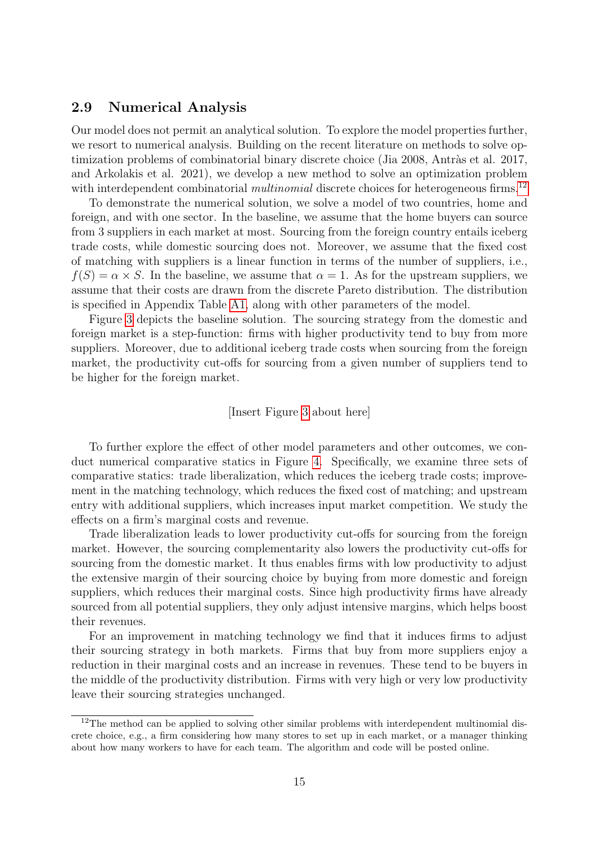### 2.9 Numerical Analysis

Our model does not permit an analytical solution. To explore the model properties further, we resort to numerical analysis. Building on the recent literature on methods to solve optimization problems of combinatorial binary discrete choice (Jia 2008, Antràs et al. 2017, and Arkolakis et al. 2021), we develop a new method to solve an optimization problem with interdependent combinatorial *multinomial* discrete choices for heterogeneous firms.<sup>[12](#page-14-0)</sup>

To demonstrate the numerical solution, we solve a model of two countries, home and foreign, and with one sector. In the baseline, we assume that the home buyers can source from 3 suppliers in each market at most. Sourcing from the foreign country entails iceberg trade costs, while domestic sourcing does not. Moreover, we assume that the fixed cost of matching with suppliers is a linear function in terms of the number of suppliers, i.e.,  $f(S) = \alpha \times S$ . In the baseline, we assume that  $\alpha = 1$ . As for the upstream suppliers, we assume that their costs are drawn from the discrete Pareto distribution. The distribution is specified in Appendix Table [A1,](#page-36-0) along with other parameters of the model.

Figure [3](#page-30-0) depicts the baseline solution. The sourcing strategy from the domestic and foreign market is a step-function: firms with higher productivity tend to buy from more suppliers. Moreover, due to additional iceberg trade costs when sourcing from the foreign market, the productivity cut-offs for sourcing from a given number of suppliers tend to be higher for the foreign market.

#### [Insert Figure [3](#page-30-0) about here]

To further explore the effect of other model parameters and other outcomes, we conduct numerical comparative statics in Figure [4.](#page-31-0) Specifically, we examine three sets of comparative statics: trade liberalization, which reduces the iceberg trade costs; improvement in the matching technology, which reduces the fixed cost of matching; and upstream entry with additional suppliers, which increases input market competition. We study the effects on a firm's marginal costs and revenue.

Trade liberalization leads to lower productivity cut-offs for sourcing from the foreign market. However, the sourcing complementarity also lowers the productivity cut-offs for sourcing from the domestic market. It thus enables firms with low productivity to adjust the extensive margin of their sourcing choice by buying from more domestic and foreign suppliers, which reduces their marginal costs. Since high productivity firms have already sourced from all potential suppliers, they only adjust intensive margins, which helps boost their revenues.

For an improvement in matching technology we find that it induces firms to adjust their sourcing strategy in both markets. Firms that buy from more suppliers enjoy a reduction in their marginal costs and an increase in revenues. These tend to be buyers in the middle of the productivity distribution. Firms with very high or very low productivity leave their sourcing strategies unchanged.

<span id="page-14-0"></span><sup>&</sup>lt;sup>12</sup>The method can be applied to solving other similar problems with interdependent multinomial discrete choice, e.g., a firm considering how many stores to set up in each market, or a manager thinking about how many workers to have for each team. The algorithm and code will be posted online.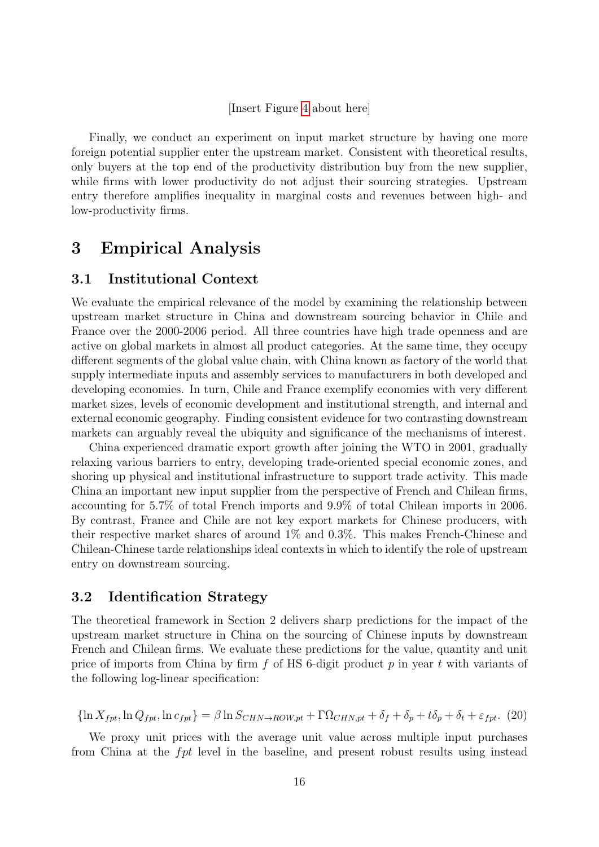#### [Insert Figure [4](#page-31-0) about here]

Finally, we conduct an experiment on input market structure by having one more foreign potential supplier enter the upstream market. Consistent with theoretical results, only buyers at the top end of the productivity distribution buy from the new supplier, while firms with lower productivity do not adjust their sourcing strategies. Upstream entry therefore amplifies inequality in marginal costs and revenues between high- and low-productivity firms.

# 3 Empirical Analysis

## 3.1 Institutional Context

We evaluate the empirical relevance of the model by examining the relationship between upstream market structure in China and downstream sourcing behavior in Chile and France over the 2000-2006 period. All three countries have high trade openness and are active on global markets in almost all product categories. At the same time, they occupy different segments of the global value chain, with China known as factory of the world that supply intermediate inputs and assembly services to manufacturers in both developed and developing economies. In turn, Chile and France exemplify economies with very different market sizes, levels of economic development and institutional strength, and internal and external economic geography. Finding consistent evidence for two contrasting downstream markets can arguably reveal the ubiquity and significance of the mechanisms of interest.

China experienced dramatic export growth after joining the WTO in 2001, gradually relaxing various barriers to entry, developing trade-oriented special economic zones, and shoring up physical and institutional infrastructure to support trade activity. This made China an important new input supplier from the perspective of French and Chilean firms, accounting for 5.7% of total French imports and 9.9% of total Chilean imports in 2006. By contrast, France and Chile are not key export markets for Chinese producers, with their respective market shares of around 1% and 0.3%. This makes French-Chinese and Chilean-Chinese tarde relationships ideal contexts in which to identify the role of upstream entry on downstream sourcing.

# 3.2 Identification Strategy

The theoretical framework in Section 2 delivers sharp predictions for the impact of the upstream market structure in China on the sourcing of Chinese inputs by downstream French and Chilean firms. We evaluate these predictions for the value, quantity and unit price of imports from China by firm  $f$  of HS 6-digit product  $p$  in year  $t$  with variants of the following log-linear specification:

<span id="page-15-0"></span>
$$
\{\ln X_{fpt}, \ln Q_{fpt}, \ln c_{fpt}\} = \beta \ln S_{CHN \to ROW, pt} + \Gamma \Omega_{CHN, pt} + \delta_f + \delta_p + t\delta_p + \delta_t + \varepsilon_{fpt}.\tag{20}
$$

We proxy unit prices with the average unit value across multiple input purchases from China at the fpt level in the baseline, and present robust results using instead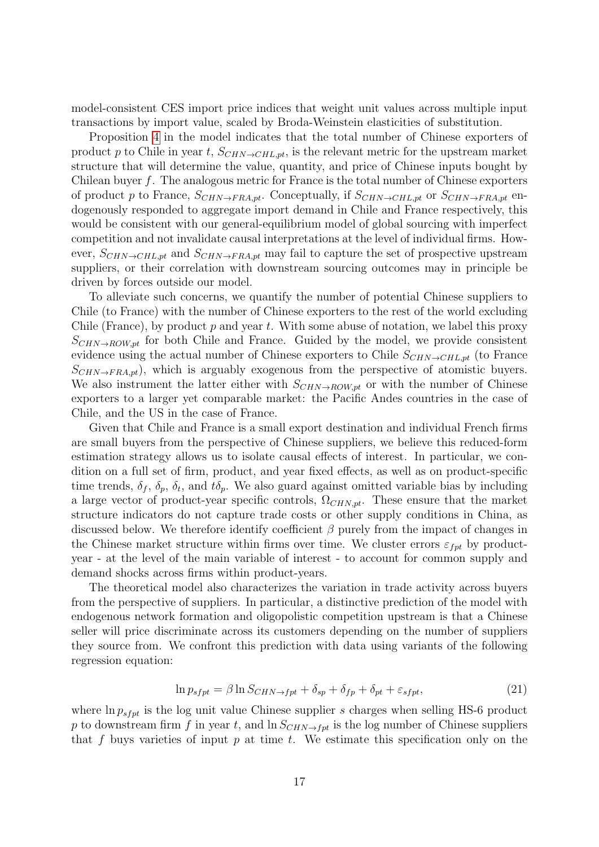model-consistent CES import price indices that weight unit values across multiple input transactions by import value, scaled by Broda-Weinstein elasticities of substitution.

Proposition [4](#page-13-1) in the model indicates that the total number of Chinese exporters of product p to Chile in year t,  $S_{CHN\rightarrow CHL,pt}$ , is the relevant metric for the upstream market structure that will determine the value, quantity, and price of Chinese inputs bought by Chilean buyer  $f$ . The analogous metric for France is the total number of Chinese exporters of product p to France,  $S_{CHN\to FRA,pt}$ . Conceptually, if  $S_{CHN\to CHL,pt}$  or  $S_{CHN\to FRA,pt}$  endogenously responded to aggregate import demand in Chile and France respectively, this would be consistent with our general-equilibrium model of global sourcing with imperfect competition and not invalidate causal interpretations at the level of individual firms. However,  $S_{CHN\rightarrow CHL,pt}$  and  $S_{CHN\rightarrow FRA,pt}$  may fail to capture the set of prospective upstream suppliers, or their correlation with downstream sourcing outcomes may in principle be driven by forces outside our model.

To alleviate such concerns, we quantify the number of potential Chinese suppliers to Chile (to France) with the number of Chinese exporters to the rest of the world excluding Chile (France), by product  $p$  and year t. With some abuse of notation, we label this proxy  $S_{CHN\rightarrow ROW,pt}$  for both Chile and France. Guided by the model, we provide consistent evidence using the actual number of Chinese exporters to Chile  $S_{CHN \to CHL,pt}$  (to France  $S_{CHN\rightarrow FRA,pt}$ , which is arguably exogenous from the perspective of atomistic buyers. We also instrument the latter either with  $S_{CHN\rightarrow ROW,pt}$  or with the number of Chinese exporters to a larger yet comparable market: the Pacific Andes countries in the case of Chile, and the US in the case of France.

Given that Chile and France is a small export destination and individual French firms are small buyers from the perspective of Chinese suppliers, we believe this reduced-form estimation strategy allows us to isolate causal effects of interest. In particular, we condition on a full set of firm, product, and year fixed effects, as well as on product-specific time trends,  $\delta_f$ ,  $\delta_p$ ,  $\delta_t$ , and  $t\delta_p$ . We also guard against omitted variable bias by including a large vector of product-year specific controls,  $\Omega_{CHN,pt}$ . These ensure that the market structure indicators do not capture trade costs or other supply conditions in China, as discussed below. We therefore identify coefficient  $\beta$  purely from the impact of changes in the Chinese market structure within firms over time. We cluster errors  $\varepsilon_{fpt}$  by productyear - at the level of the main variable of interest - to account for common supply and demand shocks across firms within product-years.

The theoretical model also characterizes the variation in trade activity across buyers from the perspective of suppliers. In particular, a distinctive prediction of the model with endogenous network formation and oligopolistic competition upstream is that a Chinese seller will price discriminate across its customers depending on the number of suppliers they source from. We confront this prediction with data using variants of the following regression equation:

<span id="page-16-0"></span>
$$
\ln p_{s f p t} = \beta \ln S_{CHN \to f p t} + \delta_{s p} + \delta_{f p} + \delta_{p t} + \varepsilon_{s f p t},\tag{21}
$$

where  $\ln p_{s f p t}$  is the log unit value Chinese supplier s charges when selling HS-6 product p to downstream firm f in year t, and  $\ln S_{CHN\rightarrow fpt}$  is the log number of Chinese suppliers that f buys varieties of input  $p$  at time  $t$ . We estimate this specification only on the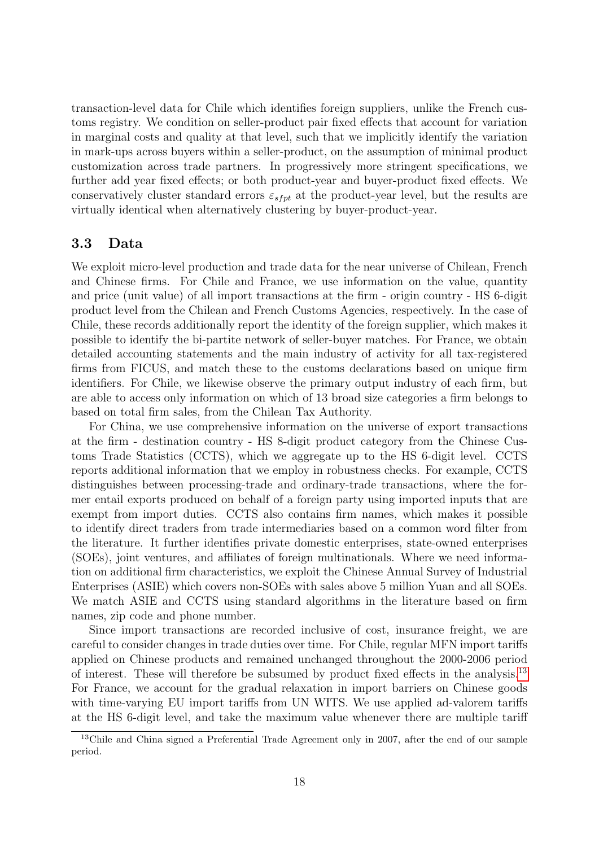transaction-level data for Chile which identifies foreign suppliers, unlike the French customs registry. We condition on seller-product pair fixed effects that account for variation in marginal costs and quality at that level, such that we implicitly identify the variation in mark-ups across buyers within a seller-product, on the assumption of minimal product customization across trade partners. In progressively more stringent specifications, we further add year fixed effects; or both product-year and buyer-product fixed effects. We conservatively cluster standard errors  $\varepsilon_{s f p t}$  at the product-year level, but the results are virtually identical when alternatively clustering by buyer-product-year.

## 3.3 Data

We exploit micro-level production and trade data for the near universe of Chilean, French and Chinese firms. For Chile and France, we use information on the value, quantity and price (unit value) of all import transactions at the firm - origin country - HS 6-digit product level from the Chilean and French Customs Agencies, respectively. In the case of Chile, these records additionally report the identity of the foreign supplier, which makes it possible to identify the bi-partite network of seller-buyer matches. For France, we obtain detailed accounting statements and the main industry of activity for all tax-registered firms from FICUS, and match these to the customs declarations based on unique firm identifiers. For Chile, we likewise observe the primary output industry of each firm, but are able to access only information on which of 13 broad size categories a firm belongs to based on total firm sales, from the Chilean Tax Authority.

For China, we use comprehensive information on the universe of export transactions at the firm - destination country - HS 8-digit product category from the Chinese Customs Trade Statistics (CCTS), which we aggregate up to the HS 6-digit level. CCTS reports additional information that we employ in robustness checks. For example, CCTS distinguishes between processing-trade and ordinary-trade transactions, where the former entail exports produced on behalf of a foreign party using imported inputs that are exempt from import duties. CCTS also contains firm names, which makes it possible to identify direct traders from trade intermediaries based on a common word filter from the literature. It further identifies private domestic enterprises, state-owned enterprises (SOEs), joint ventures, and affiliates of foreign multinationals. Where we need information on additional firm characteristics, we exploit the Chinese Annual Survey of Industrial Enterprises (ASIE) which covers non-SOEs with sales above 5 million Yuan and all SOEs. We match ASIE and CCTS using standard algorithms in the literature based on firm names, zip code and phone number.

Since import transactions are recorded inclusive of cost, insurance freight, we are careful to consider changes in trade duties over time. For Chile, regular MFN import tariffs applied on Chinese products and remained unchanged throughout the 2000-2006 period of interest. These will therefore be subsumed by product fixed effects in the analysis.<sup>[13](#page-17-0)</sup> For France, we account for the gradual relaxation in import barriers on Chinese goods with time-varying EU import tariffs from UN WITS. We use applied ad-valorem tariffs at the HS 6-digit level, and take the maximum value whenever there are multiple tariff

<span id="page-17-0"></span><sup>&</sup>lt;sup>13</sup>Chile and China signed a Preferential Trade Agreement only in 2007, after the end of our sample period.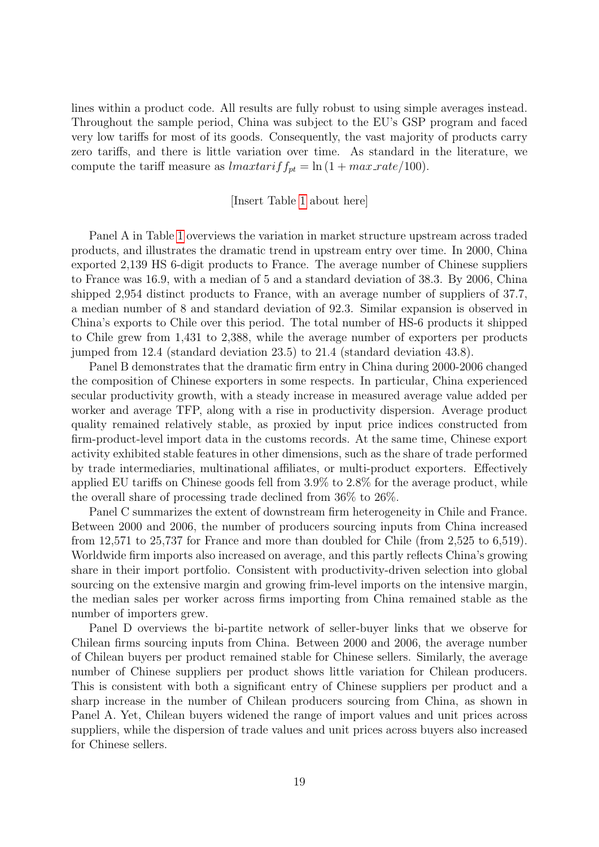lines within a product code. All results are fully robust to using simple averages instead. Throughout the sample period, China was subject to the EU's GSP program and faced very low tariffs for most of its goods. Consequently, the vast majority of products carry zero tariffs, and there is little variation over time. As standard in the literature, we compute the tariff measure as  $\text{Im} \alpha x \text{ and } f_{pt} = \ln (1 + \text{max\_rate}/100).$ 

#### [Insert Table [1](#page-32-0) about here]

Panel A in Table [1](#page-32-0) overviews the variation in market structure upstream across traded products, and illustrates the dramatic trend in upstream entry over time. In 2000, China exported 2,139 HS 6-digit products to France. The average number of Chinese suppliers to France was 16.9, with a median of 5 and a standard deviation of 38.3. By 2006, China shipped 2,954 distinct products to France, with an average number of suppliers of 37.7, a median number of 8 and standard deviation of 92.3. Similar expansion is observed in China's exports to Chile over this period. The total number of HS-6 products it shipped to Chile grew from 1,431 to 2,388, while the average number of exporters per products jumped from 12.4 (standard deviation 23.5) to 21.4 (standard deviation 43.8).

Panel B demonstrates that the dramatic firm entry in China during 2000-2006 changed the composition of Chinese exporters in some respects. In particular, China experienced secular productivity growth, with a steady increase in measured average value added per worker and average TFP, along with a rise in productivity dispersion. Average product quality remained relatively stable, as proxied by input price indices constructed from firm-product-level import data in the customs records. At the same time, Chinese export activity exhibited stable features in other dimensions, such as the share of trade performed by trade intermediaries, multinational affiliates, or multi-product exporters. Effectively applied EU tariffs on Chinese goods fell from 3.9% to 2.8% for the average product, while the overall share of processing trade declined from 36% to 26%.

Panel C summarizes the extent of downstream firm heterogeneity in Chile and France. Between 2000 and 2006, the number of producers sourcing inputs from China increased from 12,571 to 25,737 for France and more than doubled for Chile (from 2,525 to 6,519). Worldwide firm imports also increased on average, and this partly reflects China's growing share in their import portfolio. Consistent with productivity-driven selection into global sourcing on the extensive margin and growing frim-level imports on the intensive margin, the median sales per worker across firms importing from China remained stable as the number of importers grew.

Panel D overviews the bi-partite network of seller-buyer links that we observe for Chilean firms sourcing inputs from China. Between 2000 and 2006, the average number of Chilean buyers per product remained stable for Chinese sellers. Similarly, the average number of Chinese suppliers per product shows little variation for Chilean producers. This is consistent with both a significant entry of Chinese suppliers per product and a sharp increase in the number of Chilean producers sourcing from China, as shown in Panel A. Yet, Chilean buyers widened the range of import values and unit prices across suppliers, while the dispersion of trade values and unit prices across buyers also increased for Chinese sellers.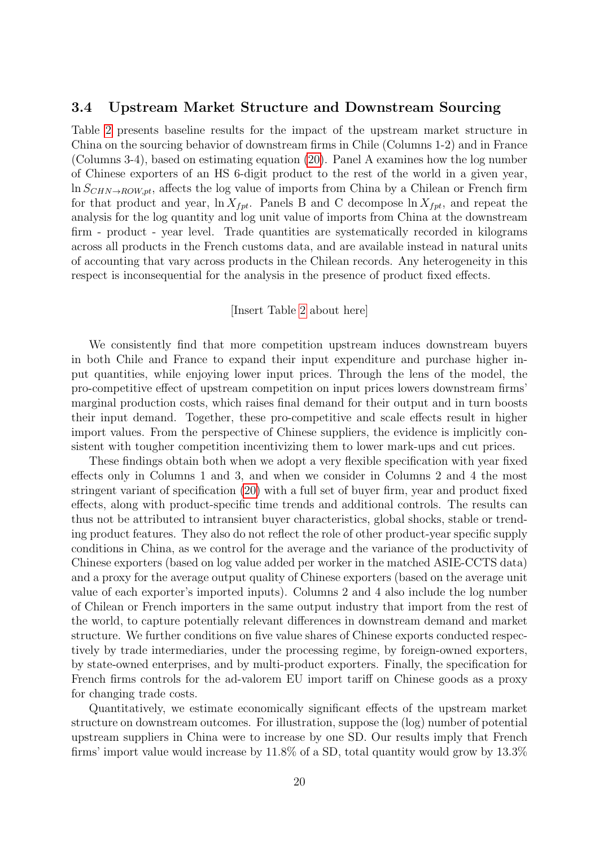#### 3.4 Upstream Market Structure and Downstream Sourcing

Table [2](#page-33-0) presents baseline results for the impact of the upstream market structure in China on the sourcing behavior of downstream firms in Chile (Columns 1-2) and in France (Columns 3-4), based on estimating equation [\(20\)](#page-15-0). Panel A examines how the log number of Chinese exporters of an HS 6-digit product to the rest of the world in a given year,  $\ln S_{CHN\rightarrow ROW,pt}$ , affects the log value of imports from China by a Chilean or French firm for that product and year,  $\ln X_{fpt}$ . Panels B and C decompose  $\ln X_{fpt}$ , and repeat the analysis for the log quantity and log unit value of imports from China at the downstream firm - product - year level. Trade quantities are systematically recorded in kilograms across all products in the French customs data, and are available instead in natural units of accounting that vary across products in the Chilean records. Any heterogeneity in this respect is inconsequential for the analysis in the presence of product fixed effects.

#### [Insert Table [2](#page-33-0) about here]

We consistently find that more competition upstream induces downstream buyers in both Chile and France to expand their input expenditure and purchase higher input quantities, while enjoying lower input prices. Through the lens of the model, the pro-competitive effect of upstream competition on input prices lowers downstream firms' marginal production costs, which raises final demand for their output and in turn boosts their input demand. Together, these pro-competitive and scale effects result in higher import values. From the perspective of Chinese suppliers, the evidence is implicitly consistent with tougher competition incentivizing them to lower mark-ups and cut prices.

These findings obtain both when we adopt a very flexible specification with year fixed effects only in Columns 1 and 3, and when we consider in Columns 2 and 4 the most stringent variant of specification [\(20\)](#page-15-0) with a full set of buyer firm, year and product fixed effects, along with product-specific time trends and additional controls. The results can thus not be attributed to intransient buyer characteristics, global shocks, stable or trending product features. They also do not reflect the role of other product-year specific supply conditions in China, as we control for the average and the variance of the productivity of Chinese exporters (based on log value added per worker in the matched ASIE-CCTS data) and a proxy for the average output quality of Chinese exporters (based on the average unit value of each exporter's imported inputs). Columns 2 and 4 also include the log number of Chilean or French importers in the same output industry that import from the rest of the world, to capture potentially relevant differences in downstream demand and market structure. We further conditions on five value shares of Chinese exports conducted respectively by trade intermediaries, under the processing regime, by foreign-owned exporters, by state-owned enterprises, and by multi-product exporters. Finally, the specification for French firms controls for the ad-valorem EU import tariff on Chinese goods as a proxy for changing trade costs.

Quantitatively, we estimate economically significant effects of the upstream market structure on downstream outcomes. For illustration, suppose the (log) number of potential upstream suppliers in China were to increase by one SD. Our results imply that French firms' import value would increase by 11.8% of a SD, total quantity would grow by 13.3%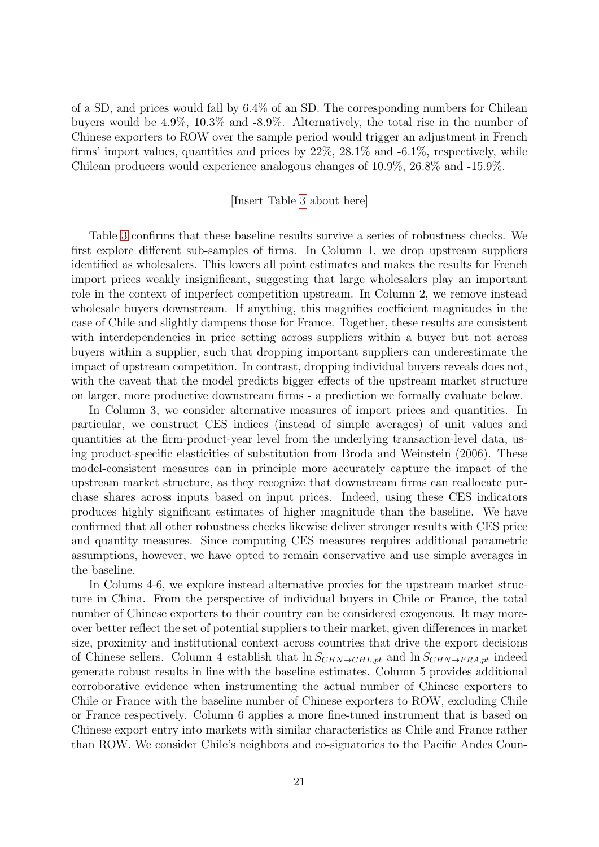of a SD, and prices would fall by 6.4% of an SD. The corresponding numbers for Chilean buyers would be 4.9%, 10.3% and -8.9%. Alternatively, the total rise in the number of Chinese exporters to ROW over the sample period would trigger an adjustment in French firms' import values, quantities and prices by  $22\%$ ,  $28.1\%$  and  $-6.1\%$ , respectively, while Chilean producers would experience analogous changes of 10.9%, 26.8% and -15.9%.

#### [Insert Table [3](#page-34-0) about here]

Table [3](#page-34-0) confirms that these baseline results survive a series of robustness checks. We first explore different sub-samples of firms. In Column 1, we drop upstream suppliers identified as wholesalers. This lowers all point estimates and makes the results for French import prices weakly insignificant, suggesting that large wholesalers play an important role in the context of imperfect competition upstream. In Column 2, we remove instead wholesale buyers downstream. If anything, this magnifies coefficient magnitudes in the case of Chile and slightly dampens those for France. Together, these results are consistent with interdependencies in price setting across suppliers within a buyer but not across buyers within a supplier, such that dropping important suppliers can underestimate the impact of upstream competition. In contrast, dropping individual buyers reveals does not, with the caveat that the model predicts bigger effects of the upstream market structure on larger, more productive downstream firms - a prediction we formally evaluate below.

In Column 3, we consider alternative measures of import prices and quantities. In particular, we construct CES indices (instead of simple averages) of unit values and quantities at the firm-product-year level from the underlying transaction-level data, using product-specific elasticities of substitution from Broda and Weinstein (2006). These model-consistent measures can in principle more accurately capture the impact of the upstream market structure, as they recognize that downstream firms can reallocate purchase shares across inputs based on input prices. Indeed, using these CES indicators produces highly significant estimates of higher magnitude than the baseline. We have confirmed that all other robustness checks likewise deliver stronger results with CES price and quantity measures. Since computing CES measures requires additional parametric assumptions, however, we have opted to remain conservative and use simple averages in the baseline.

In Colums 4-6, we explore instead alternative proxies for the upstream market structure in China. From the perspective of individual buyers in Chile or France, the total number of Chinese exporters to their country can be considered exogenous. It may moreover better reflect the set of potential suppliers to their market, given differences in market size, proximity and institutional context across countries that drive the export decisions of Chinese sellers. Column 4 establish that  $\ln S_{CHN \to CHL,pt}$  and  $\ln S_{CHN \to FRA,pt}$  indeed generate robust results in line with the baseline estimates. Column 5 provides additional corroborative evidence when instrumenting the actual number of Chinese exporters to Chile or France with the baseline number of Chinese exporters to ROW, excluding Chile or France respectively. Column 6 applies a more fine-tuned instrument that is based on Chinese export entry into markets with similar characteristics as Chile and France rather than ROW. We consider Chile's neighbors and co-signatories to the Pacific Andes Coun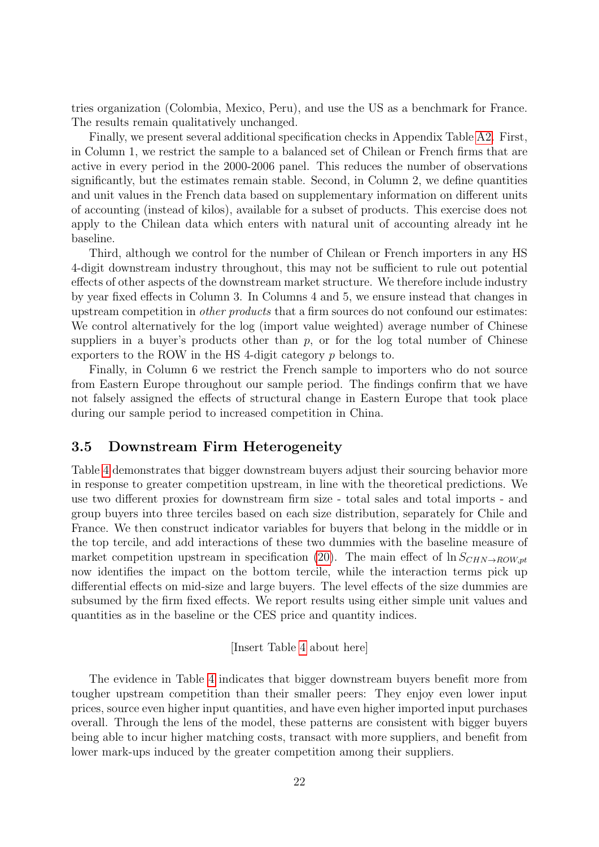tries organization (Colombia, Mexico, Peru), and use the US as a benchmark for France. The results remain qualitatively unchanged.

Finally, we present several additional specification checks in Appendix Table [A2.](#page-37-0) First, in Column 1, we restrict the sample to a balanced set of Chilean or French firms that are active in every period in the 2000-2006 panel. This reduces the number of observations significantly, but the estimates remain stable. Second, in Column 2, we define quantities and unit values in the French data based on supplementary information on different units of accounting (instead of kilos), available for a subset of products. This exercise does not apply to the Chilean data which enters with natural unit of accounting already int he baseline.

Third, although we control for the number of Chilean or French importers in any HS 4-digit downstream industry throughout, this may not be sufficient to rule out potential effects of other aspects of the downstream market structure. We therefore include industry by year fixed effects in Column 3. In Columns 4 and 5, we ensure instead that changes in upstream competition in *other products* that a firm sources do not confound our estimates: We control alternatively for the log (import value weighted) average number of Chinese suppliers in a buyer's products other than  $p$ , or for the log total number of Chinese exporters to the ROW in the HS 4-digit category p belongs to.

Finally, in Column 6 we restrict the French sample to importers who do not source from Eastern Europe throughout our sample period. The findings confirm that we have not falsely assigned the effects of structural change in Eastern Europe that took place during our sample period to increased competition in China.

# 3.5 Downstream Firm Heterogeneity

Table [4](#page-35-0) demonstrates that bigger downstream buyers adjust their sourcing behavior more in response to greater competition upstream, in line with the theoretical predictions. We use two different proxies for downstream firm size - total sales and total imports - and group buyers into three terciles based on each size distribution, separately for Chile and France. We then construct indicator variables for buyers that belong in the middle or in the top tercile, and add interactions of these two dummies with the baseline measure of market competition upstream in specification [\(20\)](#page-15-0). The main effect of  $\ln S_{CHN\rightarrow ROWnt}$ now identifies the impact on the bottom tercile, while the interaction terms pick up differential effects on mid-size and large buyers. The level effects of the size dummies are subsumed by the firm fixed effects. We report results using either simple unit values and quantities as in the baseline or the CES price and quantity indices.

[Insert Table [4](#page-35-0) about here]

The evidence in Table [4](#page-35-0) indicates that bigger downstream buyers benefit more from tougher upstream competition than their smaller peers: They enjoy even lower input prices, source even higher input quantities, and have even higher imported input purchases overall. Through the lens of the model, these patterns are consistent with bigger buyers being able to incur higher matching costs, transact with more suppliers, and benefit from lower mark-ups induced by the greater competition among their suppliers.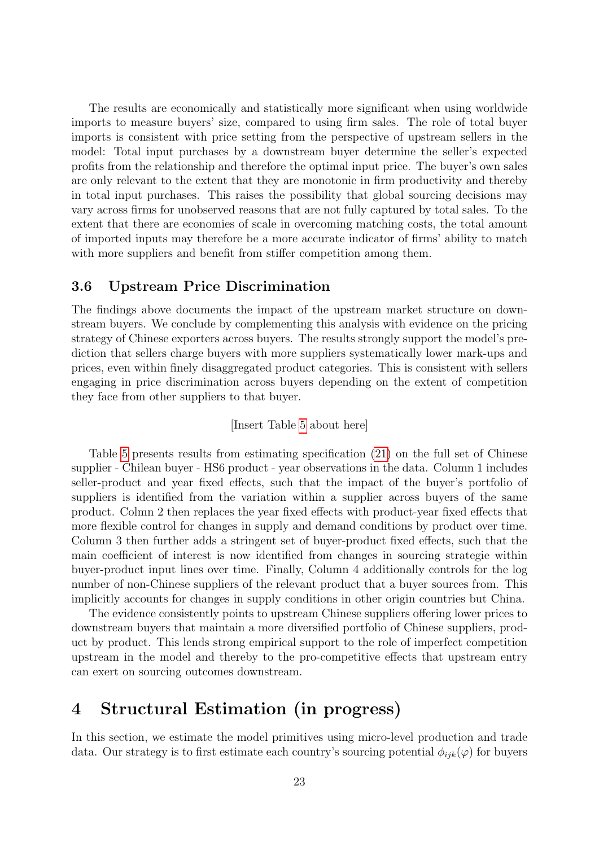The results are economically and statistically more significant when using worldwide imports to measure buyers' size, compared to using firm sales. The role of total buyer imports is consistent with price setting from the perspective of upstream sellers in the model: Total input purchases by a downstream buyer determine the seller's expected profits from the relationship and therefore the optimal input price. The buyer's own sales are only relevant to the extent that they are monotonic in firm productivity and thereby in total input purchases. This raises the possibility that global sourcing decisions may vary across firms for unobserved reasons that are not fully captured by total sales. To the extent that there are economies of scale in overcoming matching costs, the total amount of imported inputs may therefore be a more accurate indicator of firms' ability to match with more suppliers and benefit from stiffer competition among them.

## 3.6 Upstream Price Discrimination

The findings above documents the impact of the upstream market structure on downstream buyers. We conclude by complementing this analysis with evidence on the pricing strategy of Chinese exporters across buyers. The results strongly support the model's prediction that sellers charge buyers with more suppliers systematically lower mark-ups and prices, even within finely disaggregated product categories. This is consistent with sellers engaging in price discrimination across buyers depending on the extent of competition they face from other suppliers to that buyer.

#### [Insert Table [5](#page-36-1) about here]

Table [5](#page-36-1) presents results from estimating specification [\(21\)](#page-16-0) on the full set of Chinese supplier - Chilean buyer - HS6 product - year observations in the data. Column 1 includes seller-product and year fixed effects, such that the impact of the buyer's portfolio of suppliers is identified from the variation within a supplier across buyers of the same product. Colmn 2 then replaces the year fixed effects with product-year fixed effects that more flexible control for changes in supply and demand conditions by product over time. Column 3 then further adds a stringent set of buyer-product fixed effects, such that the main coefficient of interest is now identified from changes in sourcing strategie within buyer-product input lines over time. Finally, Column 4 additionally controls for the log number of non-Chinese suppliers of the relevant product that a buyer sources from. This implicitly accounts for changes in supply conditions in other origin countries but China.

The evidence consistently points to upstream Chinese suppliers offering lower prices to downstream buyers that maintain a more diversified portfolio of Chinese suppliers, product by product. This lends strong empirical support to the role of imperfect competition upstream in the model and thereby to the pro-competitive effects that upstream entry can exert on sourcing outcomes downstream.

# 4 Structural Estimation (in progress)

In this section, we estimate the model primitives using micro-level production and trade data. Our strategy is to first estimate each country's sourcing potential  $\phi_{ijk}(\varphi)$  for buyers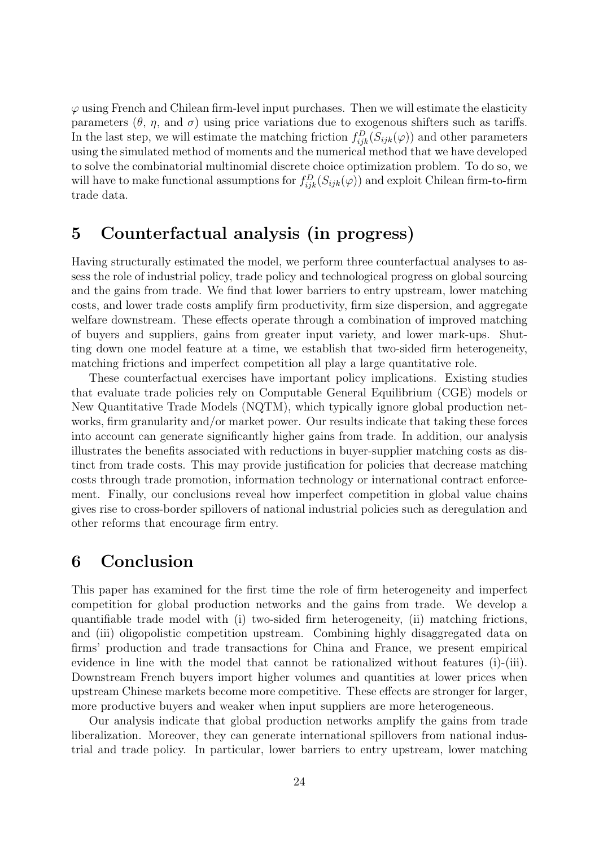$\varphi$  using French and Chilean firm-level input purchases. Then we will estimate the elasticity parameters  $(\theta, \eta, \text{ and } \sigma)$  using price variations due to exogenous shifters such as tariffs. In the last step, we will estimate the matching friction  $f_{ijk}^D(S_{ijk}(\varphi))$  and other parameters using the simulated method of moments and the numerical method that we have developed to solve the combinatorial multinomial discrete choice optimization problem. To do so, we will have to make functional assumptions for  $f_{ijk}^D(S_{ijk}(\varphi))$  and exploit Chilean firm-to-firm trade data.

# 5 Counterfactual analysis (in progress)

Having structurally estimated the model, we perform three counterfactual analyses to assess the role of industrial policy, trade policy and technological progress on global sourcing and the gains from trade. We find that lower barriers to entry upstream, lower matching costs, and lower trade costs amplify firm productivity, firm size dispersion, and aggregate welfare downstream. These effects operate through a combination of improved matching of buyers and suppliers, gains from greater input variety, and lower mark-ups. Shutting down one model feature at a time, we establish that two-sided firm heterogeneity, matching frictions and imperfect competition all play a large quantitative role.

These counterfactual exercises have important policy implications. Existing studies that evaluate trade policies rely on Computable General Equilibrium (CGE) models or New Quantitative Trade Models (NQTM), which typically ignore global production networks, firm granularity and/or market power. Our results indicate that taking these forces into account can generate significantly higher gains from trade. In addition, our analysis illustrates the benefits associated with reductions in buyer-supplier matching costs as distinct from trade costs. This may provide justification for policies that decrease matching costs through trade promotion, information technology or international contract enforcement. Finally, our conclusions reveal how imperfect competition in global value chains gives rise to cross-border spillovers of national industrial policies such as deregulation and other reforms that encourage firm entry.

# 6 Conclusion

This paper has examined for the first time the role of firm heterogeneity and imperfect competition for global production networks and the gains from trade. We develop a quantifiable trade model with (i) two-sided firm heterogeneity, (ii) matching frictions, and (iii) oligopolistic competition upstream. Combining highly disaggregated data on firms' production and trade transactions for China and France, we present empirical evidence in line with the model that cannot be rationalized without features (i)-(iii). Downstream French buyers import higher volumes and quantities at lower prices when upstream Chinese markets become more competitive. These effects are stronger for larger, more productive buyers and weaker when input suppliers are more heterogeneous.

Our analysis indicate that global production networks amplify the gains from trade liberalization. Moreover, they can generate international spillovers from national industrial and trade policy. In particular, lower barriers to entry upstream, lower matching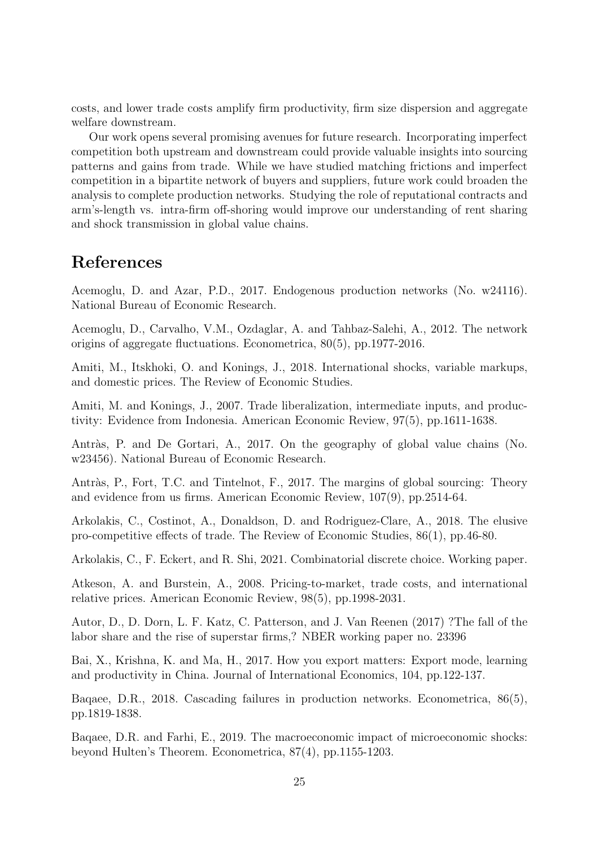costs, and lower trade costs amplify firm productivity, firm size dispersion and aggregate welfare downstream.

Our work opens several promising avenues for future research. Incorporating imperfect competition both upstream and downstream could provide valuable insights into sourcing patterns and gains from trade. While we have studied matching frictions and imperfect competition in a bipartite network of buyers and suppliers, future work could broaden the analysis to complete production networks. Studying the role of reputational contracts and arm's-length vs. intra-firm off-shoring would improve our understanding of rent sharing and shock transmission in global value chains.

# References

Acemoglu, D. and Azar, P.D., 2017. Endogenous production networks (No. w24116). National Bureau of Economic Research.

Acemoglu, D., Carvalho, V.M., Ozdaglar, A. and Tahbaz-Salehi, A., 2012. The network origins of aggregate fluctuations. Econometrica, 80(5), pp.1977-2016.

Amiti, M., Itskhoki, O. and Konings, J., 2018. International shocks, variable markups, and domestic prices. The Review of Economic Studies.

Amiti, M. and Konings, J., 2007. Trade liberalization, intermediate inputs, and productivity: Evidence from Indonesia. American Economic Review, 97(5), pp.1611-1638.

Antràs, P. and De Gortari, A., 2017. On the geography of global value chains (No. w23456). National Bureau of Economic Research.

Antràs, P., Fort, T.C. and Tintelnot, F., 2017. The margins of global sourcing: Theory and evidence from us firms. American Economic Review, 107(9), pp.2514-64.

Arkolakis, C., Costinot, A., Donaldson, D. and Rodriguez-Clare, A., 2018. The elusive pro-competitive effects of trade. The Review of Economic Studies, 86(1), pp.46-80.

Arkolakis, C., F. Eckert, and R. Shi, 2021. Combinatorial discrete choice. Working paper.

Atkeson, A. and Burstein, A., 2008. Pricing-to-market, trade costs, and international relative prices. American Economic Review, 98(5), pp.1998-2031.

Autor, D., D. Dorn, L. F. Katz, C. Patterson, and J. Van Reenen (2017) ?The fall of the labor share and the rise of superstar firms,? NBER working paper no. 23396

Bai, X., Krishna, K. and Ma, H., 2017. How you export matters: Export mode, learning and productivity in China. Journal of International Economics, 104, pp.122-137.

Baqaee, D.R., 2018. Cascading failures in production networks. Econometrica, 86(5), pp.1819-1838.

Baqaee, D.R. and Farhi, E., 2019. The macroeconomic impact of microeconomic shocks: beyond Hulten's Theorem. Econometrica, 87(4), pp.1155-1203.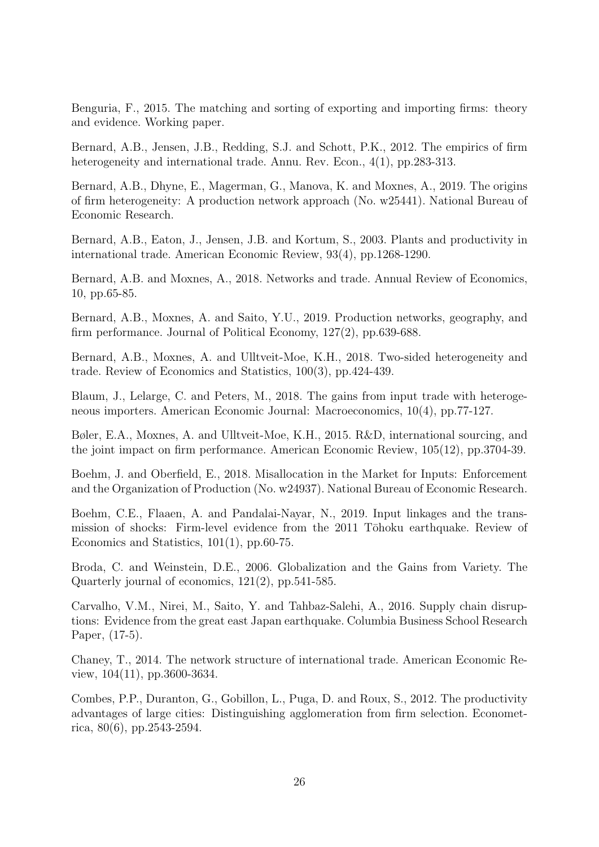Benguria, F., 2015. The matching and sorting of exporting and importing firms: theory and evidence. Working paper.

Bernard, A.B., Jensen, J.B., Redding, S.J. and Schott, P.K., 2012. The empirics of firm heterogeneity and international trade. Annu. Rev. Econ., 4(1), pp.283-313.

Bernard, A.B., Dhyne, E., Magerman, G., Manova, K. and Moxnes, A., 2019. The origins of firm heterogeneity: A production network approach (No. w25441). National Bureau of Economic Research.

Bernard, A.B., Eaton, J., Jensen, J.B. and Kortum, S., 2003. Plants and productivity in international trade. American Economic Review, 93(4), pp.1268-1290.

Bernard, A.B. and Moxnes, A., 2018. Networks and trade. Annual Review of Economics, 10, pp.65-85.

Bernard, A.B., Moxnes, A. and Saito, Y.U., 2019. Production networks, geography, and firm performance. Journal of Political Economy, 127(2), pp.639-688.

Bernard, A.B., Moxnes, A. and Ulltveit-Moe, K.H., 2018. Two-sided heterogeneity and trade. Review of Economics and Statistics, 100(3), pp.424-439.

Blaum, J., Lelarge, C. and Peters, M., 2018. The gains from input trade with heterogeneous importers. American Economic Journal: Macroeconomics, 10(4), pp.77-127.

Bøler, E.A., Moxnes, A. and Ulltveit-Moe, K.H., 2015. R&D, international sourcing, and the joint impact on firm performance. American Economic Review, 105(12), pp.3704-39.

Boehm, J. and Oberfield, E., 2018. Misallocation in the Market for Inputs: Enforcement and the Organization of Production (No. w24937). National Bureau of Economic Research.

Boehm, C.E., Flaaen, A. and Pandalai-Nayar, N., 2019. Input linkages and the transmission of shocks: Firm-level evidence from the 2011 Tōhoku earthquake. Review of Economics and Statistics, 101(1), pp.60-75.

Broda, C. and Weinstein, D.E., 2006. Globalization and the Gains from Variety. The Quarterly journal of economics, 121(2), pp.541-585.

Carvalho, V.M., Nirei, M., Saito, Y. and Tahbaz-Salehi, A., 2016. Supply chain disruptions: Evidence from the great east Japan earthquake. Columbia Business School Research Paper, (17-5).

Chaney, T., 2014. The network structure of international trade. American Economic Review, 104(11), pp.3600-3634.

Combes, P.P., Duranton, G., Gobillon, L., Puga, D. and Roux, S., 2012. The productivity advantages of large cities: Distinguishing agglomeration from firm selection. Econometrica, 80(6), pp.2543-2594.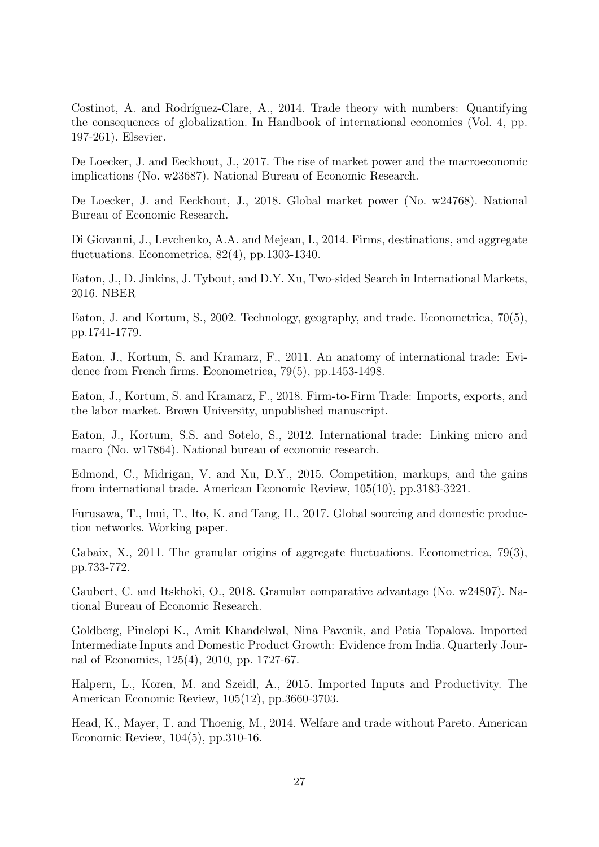Costinot, A. and Rodríguez-Clare, A., 2014. Trade theory with numbers: Quantifying the consequences of globalization. In Handbook of international economics (Vol. 4, pp. 197-261). Elsevier.

De Loecker, J. and Eeckhout, J., 2017. The rise of market power and the macroeconomic implications (No. w23687). National Bureau of Economic Research.

De Loecker, J. and Eeckhout, J., 2018. Global market power (No. w24768). National Bureau of Economic Research.

Di Giovanni, J., Levchenko, A.A. and Mejean, I., 2014. Firms, destinations, and aggregate fluctuations. Econometrica, 82(4), pp.1303-1340.

Eaton, J., D. Jinkins, J. Tybout, and D.Y. Xu, Two-sided Search in International Markets, 2016. NBER

Eaton, J. and Kortum, S., 2002. Technology, geography, and trade. Econometrica, 70(5), pp.1741-1779.

Eaton, J., Kortum, S. and Kramarz, F., 2011. An anatomy of international trade: Evidence from French firms. Econometrica, 79(5), pp.1453-1498.

Eaton, J., Kortum, S. and Kramarz, F., 2018. Firm-to-Firm Trade: Imports, exports, and the labor market. Brown University, unpublished manuscript.

Eaton, J., Kortum, S.S. and Sotelo, S., 2012. International trade: Linking micro and macro (No. w17864). National bureau of economic research.

Edmond, C., Midrigan, V. and Xu, D.Y., 2015. Competition, markups, and the gains from international trade. American Economic Review, 105(10), pp.3183-3221.

Furusawa, T., Inui, T., Ito, K. and Tang, H., 2017. Global sourcing and domestic production networks. Working paper.

Gabaix, X., 2011. The granular origins of aggregate fluctuations. Econometrica, 79(3), pp.733-772.

Gaubert, C. and Itskhoki, O., 2018. Granular comparative advantage (No. w24807). National Bureau of Economic Research.

Goldberg, Pinelopi K., Amit Khandelwal, Nina Pavcnik, and Petia Topalova. Imported Intermediate Inputs and Domestic Product Growth: Evidence from India. Quarterly Journal of Economics, 125(4), 2010, pp. 1727-67.

Halpern, L., Koren, M. and Szeidl, A., 2015. Imported Inputs and Productivity. The American Economic Review, 105(12), pp.3660-3703.

Head, K., Mayer, T. and Thoenig, M., 2014. Welfare and trade without Pareto. American Economic Review, 104(5), pp.310-16.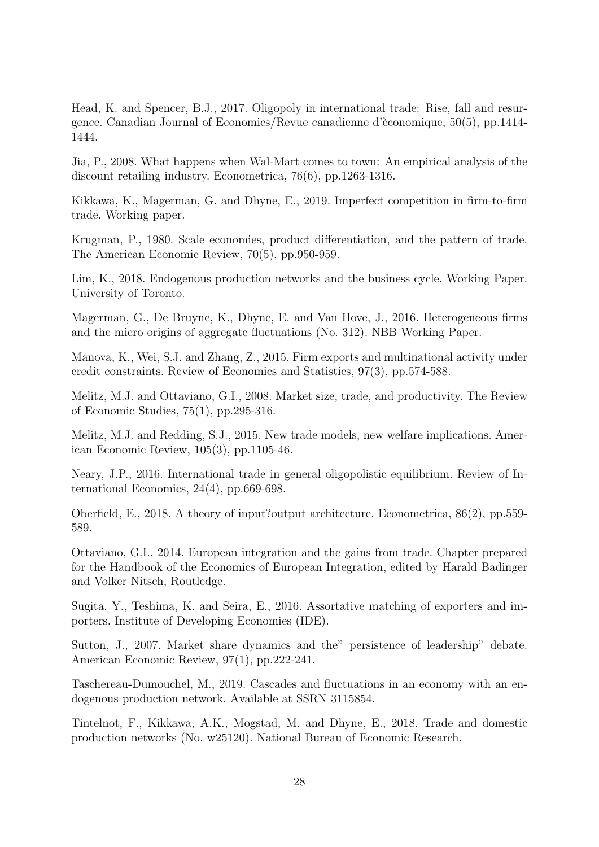Head, K. and Spencer, B.J., 2017. Oligopoly in international trade: Rise, fall and resurgence. Canadian Journal of Economics/Revue canadienne d'`economique, 50(5), pp.1414- 1444.

Jia, P., 2008. What happens when Wal-Mart comes to town: An empirical analysis of the discount retailing industry. Econometrica, 76(6), pp.1263-1316.

Kikkawa, K., Magerman, G. and Dhyne, E., 2019. Imperfect competition in firm-to-firm trade. Working paper.

Krugman, P., 1980. Scale economies, product differentiation, and the pattern of trade. The American Economic Review, 70(5), pp.950-959.

Lim, K., 2018. Endogenous production networks and the business cycle. Working Paper. University of Toronto.

Magerman, G., De Bruyne, K., Dhyne, E. and Van Hove, J., 2016. Heterogeneous firms and the micro origins of aggregate fluctuations (No. 312). NBB Working Paper.

Manova, K., Wei, S.J. and Zhang, Z., 2015. Firm exports and multinational activity under credit constraints. Review of Economics and Statistics, 97(3), pp.574-588.

Melitz, M.J. and Ottaviano, G.I., 2008. Market size, trade, and productivity. The Review of Economic Studies, 75(1), pp.295-316.

Melitz, M.J. and Redding, S.J., 2015. New trade models, new welfare implications. American Economic Review, 105(3), pp.1105-46.

Neary, J.P., 2016. International trade in general oligopolistic equilibrium. Review of International Economics, 24(4), pp.669-698.

Oberfield, E., 2018. A theory of input?output architecture. Econometrica, 86(2), pp.559- 589.

Ottaviano, G.I., 2014. European integration and the gains from trade. Chapter prepared for the Handbook of the Economics of European Integration, edited by Harald Badinger and Volker Nitsch, Routledge.

Sugita, Y., Teshima, K. and Seira, E., 2016. Assortative matching of exporters and importers. Institute of Developing Economies (IDE).

Sutton, J., 2007. Market share dynamics and the" persistence of leadership" debate. American Economic Review, 97(1), pp.222-241.

Taschereau-Dumouchel, M., 2019. Cascades and fluctuations in an economy with an endogenous production network. Available at SSRN 3115854.

Tintelnot, F., Kikkawa, A.K., Mogstad, M. and Dhyne, E., 2018. Trade and domestic production networks (No. w25120). National Bureau of Economic Research.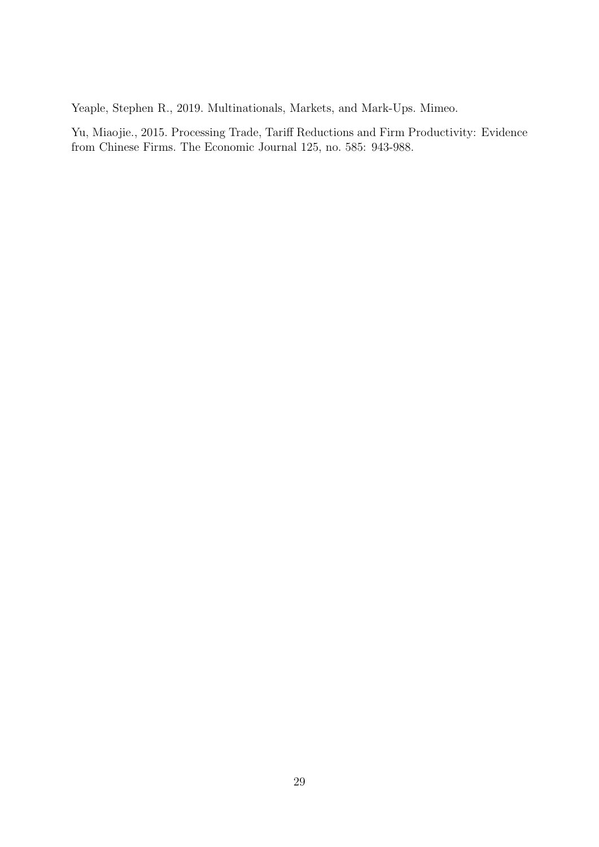Yeaple, Stephen R., 2019. Multinationals, Markets, and Mark-Ups. Mimeo.

Yu, Miaojie., 2015. Processing Trade, Tariff Reductions and Firm Productivity: Evidence from Chinese Firms. The Economic Journal 125, no. 585: 943-988.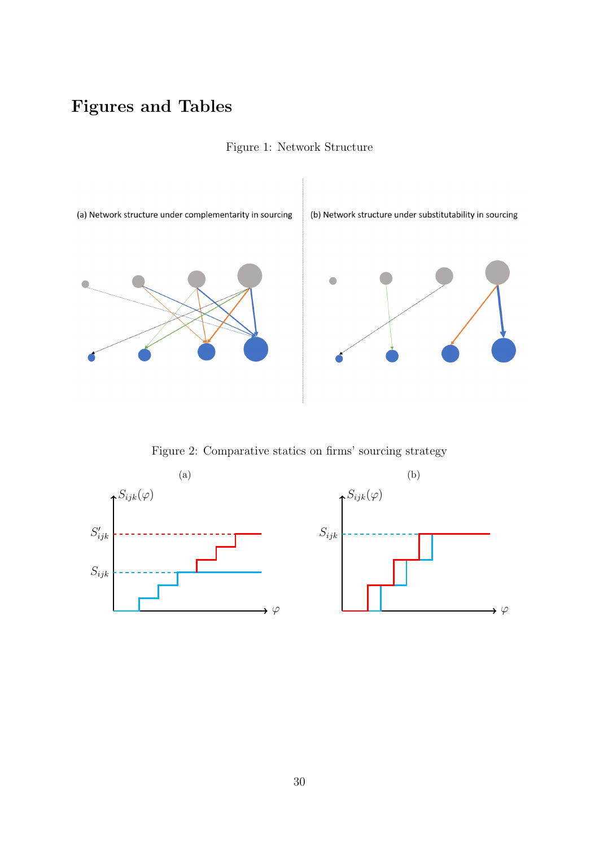# <span id="page-29-0"></span>Figures and Tables



Figure 1: Network Structure

Figure 2: Comparative statics on firms' sourcing strategy

<span id="page-29-1"></span>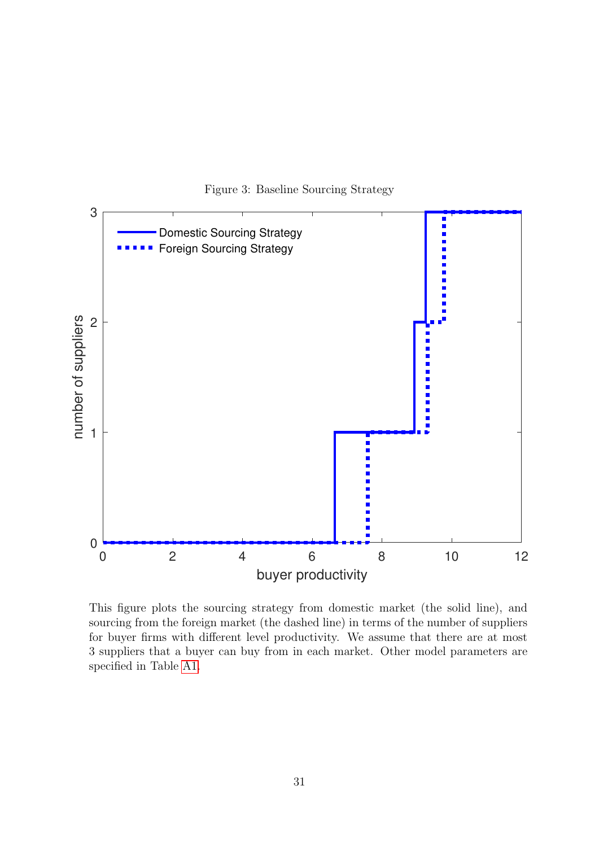<span id="page-30-0"></span>

Figure 3: Baseline Sourcing Strategy

This figure plots the sourcing strategy from domestic market (the solid line), and sourcing from the foreign market (the dashed line) in terms of the number of suppliers for buyer firms with different level productivity. We assume that there are at most 3 suppliers that a buyer can buy from in each market. Other model parameters are specified in Table [A1.](#page-36-0)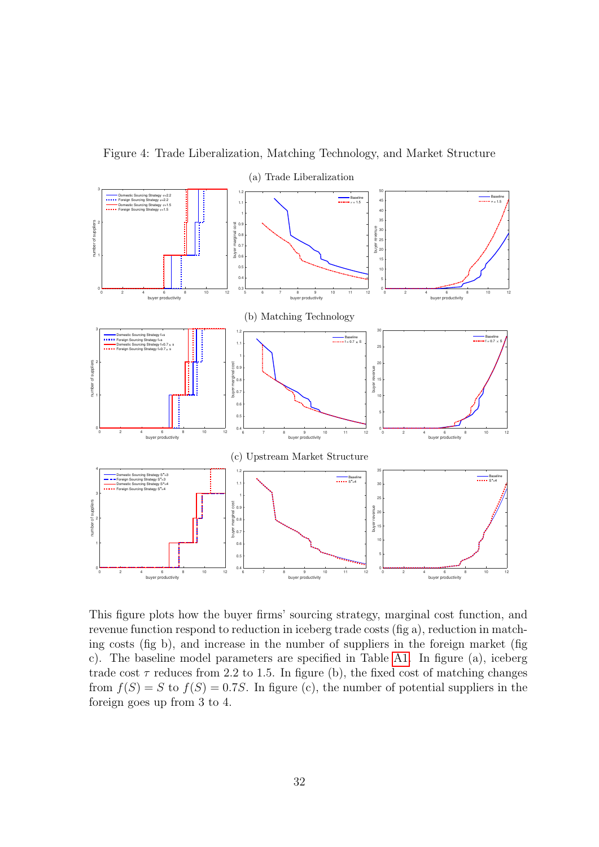<span id="page-31-0"></span>

Figure 4: Trade Liberalization, Matching Technology, and Market Structure

This figure plots how the buyer firms' sourcing strategy, marginal cost function, and revenue function respond to reduction in iceberg trade costs (fig a), reduction in matching costs (fig b), and increase in the number of suppliers in the foreign market (fig c). The baseline model parameters are specified in Table [A1.](#page-36-0) In figure (a), iceberg trade cost  $\tau$  reduces from 2.2 to 1.5. In figure (b), the fixed cost of matching changes from  $f(S) = S$  to  $f(S) = 0.7S$ . In figure (c), the number of potential suppliers in the foreign goes up from 3 to 4.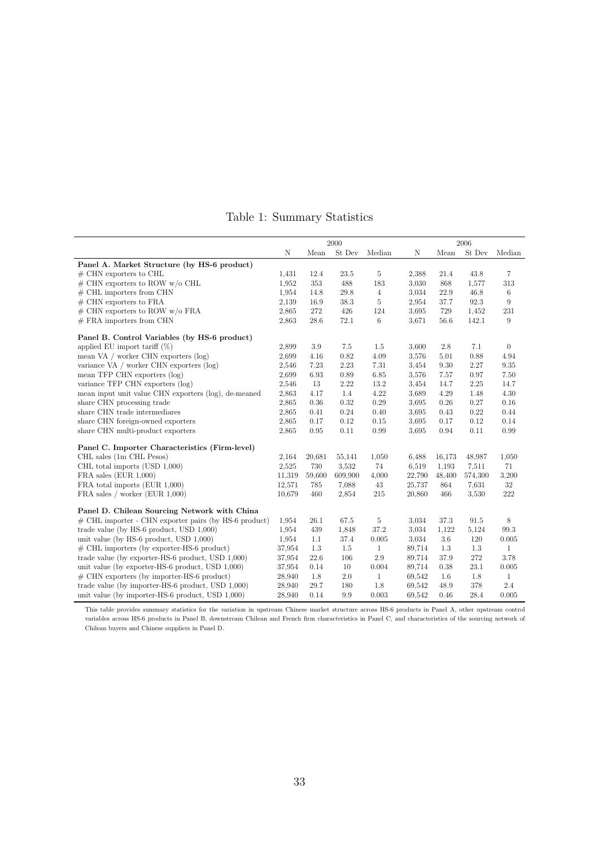|  | Table 1: Summary Statistics |  |
|--|-----------------------------|--|
|--|-----------------------------|--|

<span id="page-32-0"></span>

|                                                          | 2000   |        |         |                |        | 2006    |         |                |  |
|----------------------------------------------------------|--------|--------|---------|----------------|--------|---------|---------|----------------|--|
|                                                          | N      | Mean   | St Dev  | Median         | N      | Mean    | St Dev  | Median         |  |
| Panel A. Market Structure (by HS-6 product)              |        |        |         |                |        |         |         |                |  |
| $#$ CHN exporters to CHL                                 | 1,431  | 12.4   | 23.5    | 5              | 2,388  | 21.4    | 43.8    | 7              |  |
| $\#$ CHN exporters to ROW w/o CHL                        | 1,952  | 353    | 488     | 183            | 3,030  | 868     | 1,577   | 313            |  |
| $#$ CHL importers from CHN                               | 1,954  | 14.8   | 29.8    | $\overline{4}$ | 3,034  | 22.9    | 46.8    | $\,6$          |  |
| $#$ CHN exporters to FRA                                 | 2,139  | 16.9   | 38.3    | $\overline{5}$ | 2,954  | 37.7    | 92.3    | 9              |  |
| $\#$ CHN exporters to ROW w/o FRA                        | 2,865  | 272    | 426     | 124            | 3,695  | 729     | 1,452   | 231            |  |
| $#$ FRA importers from CHN                               | 2,863  | 28.6   | 72.1    | 6              | 3,671  | 56.6    | 142.1   | 9              |  |
| Panel B. Control Variables (by HS-6 product)             |        |        |         |                |        |         |         |                |  |
| applied EU import tariff $(\%)$                          | 2,899  | 3.9    | 7.5     | 1.5            | 3,600  | 2.8     | 7.1     | $\overline{0}$ |  |
| mean VA / worker CHN exporters (log)                     | 2,699  | 4.16   | 0.82    | 4.09           | 3,576  | 5.01    | 0.88    | 4.94           |  |
| variance VA $/$ worker CHN exporters $(\log)$            | 2,546  | 7.23   | 2.23    | 7.31           | 3,454  | 9.30    | 2.27    | $\,9.35$       |  |
| mean TFP CHN exporters (log)                             | 2,699  | 6.93   | 0.89    | 6.85           | 3,576  | 7.57    | 0.97    | 7.50           |  |
| variance TFP CHN exporters (log)                         | 2,546  | 13     | 2.22    | 13.2           | 3,454  | 14.7    | 2.25    | 14.7           |  |
| mean input unit value CHN exporters (log), de-meaned     | 2,863  | 4.17   | 1.4     | 4.22           | 3,689  | 4.29    | 1.48    | 4.30           |  |
| share CHN processing trade                               | 2,865  | 0.36   | 0.32    | 0.29           | 3,695  | 0.26    | 0.27    | 0.16           |  |
| share CHN trade intermediares                            | 2,865  | 0.41   | 0.24    | 0.40           | 3,695  | 0.43    | 0.22    | 0.44           |  |
| share CHN foreign-owned exporters                        | 2,865  | 0.17   | 0.12    | $0.15\,$       | 3,695  | 0.17    | 0.12    | 0.14           |  |
| share CHN multi-product exporters                        | 2,865  | 0.95   | 0.11    | 0.99           | 3.695  | 0.94    | 0.11    | 0.99           |  |
| Panel C. Importer Characteristics (Firm-level)           |        |        |         |                |        |         |         |                |  |
| CHL sales (1m CHL Pesos)                                 | 2,164  | 20,681 | 55,141  | 1,050          | 6,488  | 16,173  | 48.987  | 1,050          |  |
| CHL total imports (USD 1,000)                            | 2,525  | 730    | 3,532   | 74             | 6,519  | 1,193   | 7,511   | 71             |  |
| $FRA$ sales $(EUR 1,000)$                                | 11,319 | 59,600 | 609,900 | 4,000          | 22,790 | 48,400  | 574,300 | 3,200          |  |
| FRA total imports (EUR 1,000)                            | 12,571 | 785    | 7.088   | 43             | 25,737 | 864     | 7,631   | 32             |  |
| FRA sales / worker (EUR $1,000$ )                        | 10.679 | 460    | 2,854   | 215            | 20,860 | 466     | 3,530   | 222            |  |
| Panel D. Chilean Sourcing Network with China             |        |        |         |                |        |         |         |                |  |
| $\#$ CHL importer - CHN exporter pairs (by HS-6 product) | 1,954  | 26.1   | 67.5    | 5              | 3,034  | 37.3    | 91.5    | 8              |  |
| trade value (by HS-6 product, USD 1,000)                 | 1,954  | 439    | 1,848   | 37.2           | 3,034  | 1,122   | 5,124   | 99.3           |  |
| unit value (by HS-6 product, USD 1,000)                  | 1,954  | 1.1    | 37.4    | 0.005          | 3,034  | $3.6\,$ | 120     | 0.005          |  |
| $\#$ CHL importers (by exporter-HS-6 product)            | 37,954 | 1.3    | 1.5     | $\mathbf{1}$   | 89,714 | 1.3     | 1.3     | $\mathbf{1}$   |  |
| trade value (by exporter-HS-6 product, USD 1,000)        | 37.954 | 22.6   | 106     | 2.9            | 89,714 | 37.9    | 272     | 3.78           |  |
| unit value (by exporter-HS-6 product, USD 1,000)         | 37,954 | 0.14   | 10      | 0.004          | 89,714 | 0.38    | 23.1    | 0.005          |  |
| $\#$ CHN exporters (by importer-HS-6 product)            | 28,940 | 1.8    | 2.0     | $\mathbf{1}$   | 69,542 | $1.6\,$ | 1.8     | 1              |  |
| trade value (by importer-HS-6 product, USD 1,000)        | 28,940 | 29.7   | 180     | 1.8            | 69,542 | 48.9    | 378     | 2.4            |  |
| unit value (by importer-HS-6 product, USD 1,000)         | 28,940 | 0.14   | 9.9     | 0.003          | 69,542 | 0.46    | 28.4    | 0.005          |  |

This table provides summary statistics for the variation in upstream Chinese market structure across HS-6 products in Panel A, other upstream control variables across HS-6 products in Panel B, downstream Chilean and French firm characteristics in Panel C, and characteristics of the sourcing network of Chilean buyers and Chinese suppliers in Panel D.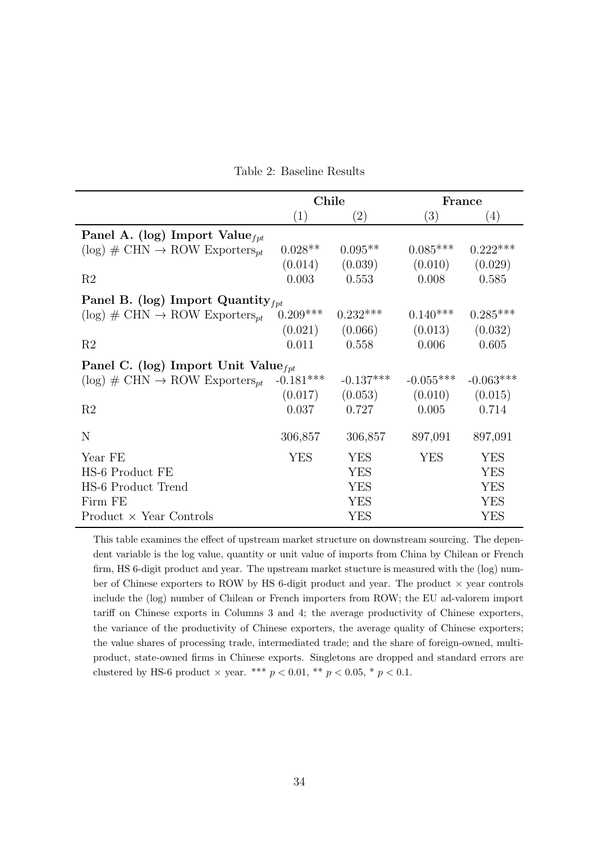| Table 2: Baseline Results |
|---------------------------|
|---------------------------|

<span id="page-33-0"></span>

|                                                                 | Chile       |                   |                     | France      |
|-----------------------------------------------------------------|-------------|-------------------|---------------------|-------------|
|                                                                 | (1)         | $\left( 2\right)$ | (3)                 | (4)         |
| Panel A. (log) Import Value $_{fpt}$                            |             |                   |                     |             |
| $(\log)$ # CHN $\rightarrow$ ROW Exporters <sub><i>nt</i></sub> | $0.028**$   | $0.095**$         | $0.085***$          | $0.222***$  |
|                                                                 | (0.014)     | (0.039)           | (0.010)             | (0.029)     |
| R <sub>2</sub>                                                  | 0.003       | 0.553             | 0.008               | 0.585       |
| Panel B. (log) Import Quantity $_{fpt}$                         |             |                   |                     |             |
| $(\log)$ # CHN $\rightarrow$ ROW Exporters <sub>pt</sub>        | $0.209***$  | $0.232***$        | $0.140***$          | $0.285***$  |
|                                                                 | (0.021)     | (0.066)           | (0.013)             | (0.032)     |
| R <sub>2</sub>                                                  | 0.011       | 0.558             | 0.006               | 0.605       |
| Panel C. (log) Import Unit Value $_{fpt}$                       |             |                   |                     |             |
| $(\log)$ # CHN $\rightarrow$ ROW Exporters <sub>pt</sub>        | $-0.181***$ | $-0.137***$       | $-0.055***$         | $-0.063***$ |
|                                                                 | (0.017)     | (0.053)           | $(0.010)$ $(0.015)$ |             |
| R <sub>2</sub>                                                  | 0.037       | 0.727             | 0.005               | 0.714       |
| N                                                               | 306,857     | 306,857           | 897,091             | 897,091     |
| Year FE                                                         | <b>YES</b>  | <b>YES</b>        | <b>YES</b>          | <b>YES</b>  |
| HS-6 Product FE                                                 |             | <b>YES</b>        |                     | <b>YES</b>  |
| HS-6 Product Trend                                              |             | <b>YES</b>        |                     | <b>YES</b>  |
| Firm FE                                                         |             | <b>YES</b>        |                     | <b>YES</b>  |
| $Product \times Year$ Controls                                  |             | <b>YES</b>        |                     | <b>YES</b>  |

This table examines the effect of upstream market structure on downstream sourcing. The dependent variable is the log value, quantity or unit value of imports from China by Chilean or French firm, HS 6-digit product and year. The upstream market stucture is measured with the (log) number of Chinese exporters to ROW by HS 6-digit product and year. The product  $\times$  year controls include the (log) number of Chilean or French importers from ROW; the EU ad-valorem import tariff on Chinese exports in Columns 3 and 4; the average productivity of Chinese exporters, the variance of the productivity of Chinese exporters, the average quality of Chinese exporters; the value shares of processing trade, intermediated trade; and the share of foreign-owned, multiproduct, state-owned firms in Chinese exports. Singletons are dropped and standard errors are clustered by HS-6 product  $\times$  year. \*\*\*  $p < 0.01$ , \*\*  $p < 0.05$ , \*  $p < 0.1$ .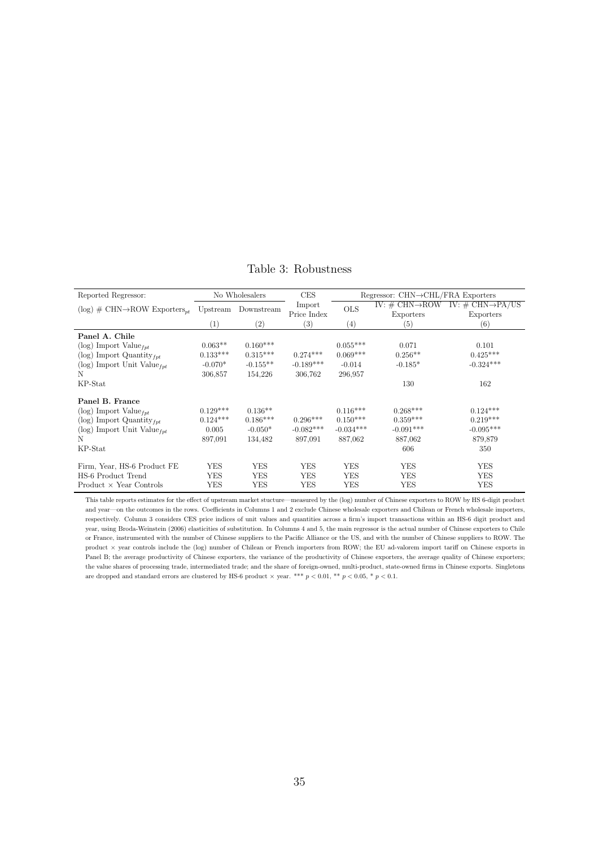<span id="page-34-0"></span>

| Reported Regressor:                                                          |                   | No Wholesalers    | <b>CES</b>  |             | Regressor: $CHN \rightarrow CHL/FRA$ Exporters |                                  |
|------------------------------------------------------------------------------|-------------------|-------------------|-------------|-------------|------------------------------------------------|----------------------------------|
| $(\log)$ # CHN $\rightarrow$ ROW Exporters <sub>nt</sub> Upstream Downstream |                   |                   | Import      | <b>OLS</b>  | IV: $\#$ CHN $\rightarrow$ ROW                 | IV: $\#$ CHN $\rightarrow$ PA/US |
|                                                                              |                   |                   | Price Index |             | Exporters                                      | Exporters                        |
|                                                                              | $\left( 1\right)$ | $\left( 2\right)$ | (3)         | (4)         | (5)                                            | (6)                              |
| Panel A. Chile                                                               |                   |                   |             |             |                                                |                                  |
| (log) Import Value $_{fpt}$                                                  | $0.063**$         | $0.160***$        |             | $0.055***$  | 0.071                                          | 0.101                            |
| (log) Import Quantity $_{fpt}$                                               | $0.133***$        | $0.315***$        | $0.274***$  | $0.069***$  | $0.256**$                                      | $0.425***$                       |
| (log) Import Unit Value $_{fpt}$                                             | $-0.070*$         | $-0.155**$        | $-0.189***$ | $-0.014$    | $-0.185*$                                      | $-0.324***$                      |
| N                                                                            | 306,857           | 154,226           | 306,762     | 296,957     |                                                |                                  |
| KP-Stat                                                                      |                   |                   |             |             | 130                                            | 162                              |
| Panel B. France                                                              |                   |                   |             |             |                                                |                                  |
| $(\log)$ Import Value <sub>fut</sub>                                         | $0.129***$        | $0.136**$         |             | $0.116***$  | $0.268***$                                     | $0.124***$                       |
| (log) Import Quantity $_{fpt}$                                               | $0.124***$        | $0.186***$        | $0.296***$  | $0.150***$  | $0.359***$                                     | $0.219***$                       |
| (log) Import Unit Value $_{fpt}$                                             | 0.005             | $-0.050*$         | $-0.082***$ | $-0.034***$ | $-0.091***$                                    | $-0.095***$                      |
| N                                                                            | 897,091           | 134,482           | 897,091     | 887,062     | 887,062                                        | 879,879                          |
| KP-Stat                                                                      |                   |                   |             |             | 606                                            | 350                              |
| Firm, Year, HS-6 Product FE                                                  | <b>YES</b>        | <b>YES</b>        | <b>YES</b>  | <b>YES</b>  | <b>YES</b>                                     | <b>YES</b>                       |
| HS-6 Product Trend                                                           | YES               | YES               | YES         | <b>YES</b>  | YES                                            | YES                              |
| $Product \times Year$ Controls                                               | <b>YES</b>        | YES               | YES         | YES         | <b>YES</b>                                     | <b>YES</b>                       |

Table 3: Robustness

This table reports estimates for the effect of upstream market stucture—measured by the (log) number of Chinese exporters to ROW by HS 6-digit product and year—on the outcomes in the rows. Coefficients in Columns 1 and 2 exclude Chinese wholesale exporters and Chilean or French wholesale importers, respectively. Column 3 considers CES price indices of unit values and quantities across a firm's import transactions within an HS-6 digit product and year, using Broda-Weinstein (2006) elasticities of substitution. In Columns 4 and 5, the main regressor is the actual number of Chinese exporters to Chile or France, instrumented with the number of Chinese suppliers to the Pacific Alliance or the US, and with the number of Chinese suppliers to ROW. The product <sup>×</sup> year controls include the (log) number of Chilean or French importers from ROW; the EU ad-valorem import tariff on Chinese exports in Panel B; the average productivity of Chinese exporters, the variance of the productivity of Chinese exporters, the average quality of Chinese exporters; the value shares of processing trade, intermediated trade; and the share of foreign-owned, multi-product, state-owned firms in Chinese exports. Singletons are dropped and standard errors are clustered by HS-6 product  $\times$  year. \*\*\*  $p < 0.01$ , \*\*  $p < 0.05$ , \*  $p < 0.1$ .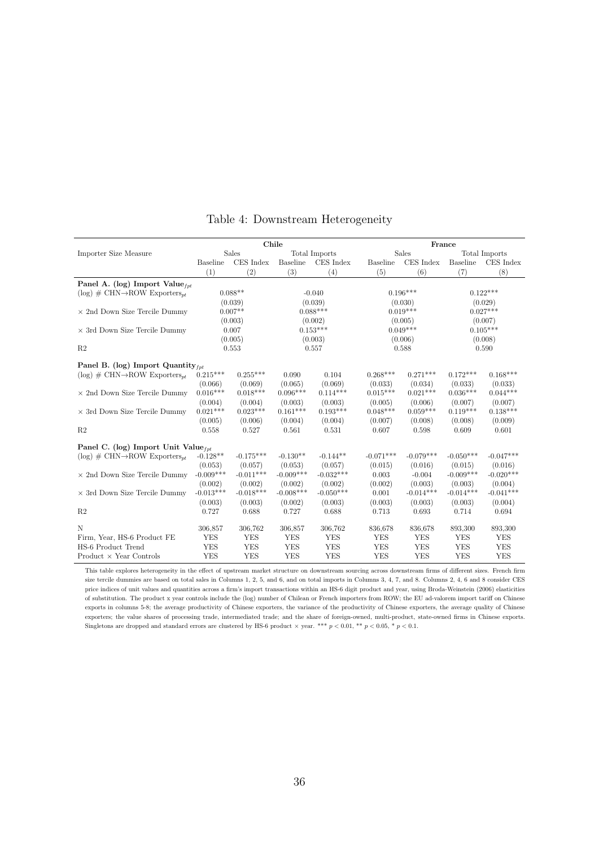<span id="page-35-0"></span>

|                                                          | Chile           |             |             |               | France             |              |             |               |  |
|----------------------------------------------------------|-----------------|-------------|-------------|---------------|--------------------|--------------|-------------|---------------|--|
| Importer Size Measure                                    |                 | Sales       |             | Total Imports |                    | <b>Sales</b> |             | Total Imports |  |
|                                                          | <b>Baseline</b> | CES Index   | Baseline    | CES Index     | <b>Baseline</b>    | CES Index    | Baseline    | CES Index     |  |
|                                                          | (1)             | (2)         | (3)         | (4)           | (5)                | (6)          | (7)         | (8)           |  |
| Panel A. (log) Import Value $_{\text{fat}}$              |                 |             |             |               |                    |              |             |               |  |
| $(\log)$ # CHN $\rightarrow$ ROW Exporters <sub>nt</sub> |                 | $0.088**$   |             | $-0.040$      |                    | $0.196***$   |             | $0.122***$    |  |
|                                                          |                 | (0.039)     |             | (0.039)       | (0.030)<br>(0.029) |              |             |               |  |
| $\times$ 2nd Down Size Tercile Dummy                     |                 | $0.007**$   |             | $0.088***$    |                    | $0.019***$   |             | $0.027***$    |  |
|                                                          |                 | (0.003)     |             | (0.002)       |                    | (0.005)      |             | (0.007)       |  |
| $\times$ 3rd Down Size Tercile Dummy                     |                 | 0.007       |             | $0.153***$    |                    | $0.049***$   |             | $0.105***$    |  |
|                                                          |                 | (0.005)     |             | (0.003)       |                    | (0.006)      |             | (0.008)       |  |
| R <sub>2</sub>                                           |                 | 0.553       |             | 0.557         |                    | 0.588        |             | 0.590         |  |
| Panel B. (log) Import Quantity $_{fnt}$                  |                 |             |             |               |                    |              |             |               |  |
| $(\log)$ # CHN $\rightarrow$ ROW Exporters <sub>nt</sub> | $0.215***$      | $0.255***$  | 0.090       | 0.104         | $0.268***$         | $0.271***$   | $0.172***$  | $0.168***$    |  |
|                                                          | (0.066)         | (0.069)     | (0.065)     | (0.069)       | (0.033)            | (0.034)      | (0.033)     | (0.033)       |  |
| $\times$ 2nd Down Size Tercile Dummy                     | $0.016***$      | $0.018***$  | $0.096***$  | $0.114***$    | $0.015***$         | $0.021***$   | $0.036***$  | $0.044***$    |  |
|                                                          | (0.004)         | (0.004)     | (0.003)     | (0.003)       | (0.005)            | (0.006)      | (0.007)     | (0.007)       |  |
| $\times$ 3rd Down Size Tercile Dummy                     | $0.021***$      | $0.023***$  | $0.161***$  | $0.193***$    | $0.048***$         | $0.059***$   | $0.119***$  | $0.138***$    |  |
|                                                          | (0.005)         | (0.006)     | (0.004)     | (0.004)       | (0.007)            | (0.008)      | (0.008)     | (0.009)       |  |
| R <sub>2</sub>                                           | 0.558           | 0.527       | 0.561       | 0.531         | 0.607              | 0.598        | 0.609       | 0.601         |  |
| Panel C. (log) Import Unit Value $_{fnt}$                |                 |             |             |               |                    |              |             |               |  |
| $(\log)$ # CHN $\rightarrow$ ROW Exporters <sub>nt</sub> | $-0.128**$      | $-0.175***$ | $-0.130**$  | $-0.144**$    | $-0.071***$        | $-0.079***$  | $-0.050***$ | $-0.047***$   |  |
|                                                          | (0.053)         | (0.057)     | (0.053)     | (0.057)       | (0.015)            | (0.016)      | (0.015)     | (0.016)       |  |
| $\times$ 2nd Down Size Tercile Dummy                     | $-0.009***$     | $-0.011***$ | $-0.009***$ | $-0.032***$   | 0.003              | $-0.004$     | $-0.009***$ | $-0.020***$   |  |
|                                                          | (0.002)         | (0.002)     | (0.002)     | (0.002)       | (0.002)            | (0.003)      | (0.003)     | (0.004)       |  |
| $\times$ 3rd Down Size Tercile Dummy                     | $-0.013***$     | $-0.018***$ | $-0.008***$ | $-0.050***$   | 0.001              | $-0.014***$  | $-0.014***$ | $-0.041***$   |  |
|                                                          | (0.003)         | (0.003)     | (0.002)     | (0.003)       | (0.003)            | (0.003)      | (0.003)     | (0.004)       |  |
| R <sub>2</sub>                                           | 0.727           | 0.688       | 0.727       | 0.688         | 0.713              | 0.693        | 0.714       | 0.694         |  |
| N                                                        | 306,857         | 306,762     | 306,857     | 306,762       | 836,678            | 836,678      | 893,300     | 893,300       |  |
| Firm, Year, HS-6 Product FE                              | <b>YES</b>      | <b>YES</b>  | <b>YES</b>  | <b>YES</b>    | <b>YES</b>         | <b>YES</b>   | <b>YES</b>  | <b>YES</b>    |  |
| HS-6 Product Trend                                       | <b>YES</b>      | <b>YES</b>  | <b>YES</b>  | <b>YES</b>    | <b>YES</b>         | <b>YES</b>   | <b>YES</b>  | <b>YES</b>    |  |
| Product $\times$ Year Controls                           | <b>YES</b>      | <b>YES</b>  | <b>YES</b>  | <b>YES</b>    | <b>YES</b>         | <b>YES</b>   | <b>YES</b>  | <b>YES</b>    |  |

# Table 4: Downstream Heterogeneity

This table explores heterogeneity in the effect of upstream market structure on downstream sourcing across downstream firms of different sizes. French firm size tercile dummies are based on total sales in Columns 1, 2, 5, and 6, and on total imports in Columns 3, 4, 7, and 8. Columns 2, 4, 6 and 8 consider CES price indices of unit values and quantities across a firm's import transactions within an HS-6 digit product and year, using Broda-Weinstein (2006) elasticities of substitution. The product x year controls include the (log) number of Chilean or French importers from ROW; the EU ad-valorem import tariff on Chinese exports in columns 5-8; the average productivity of Chinese exporters, the variance of the productivity of Chinese exporters, the average quality of Chinese exporters; the value shares of processing trade, intermediated trade; and the share of foreign-owned, multi-product, state-owned firms in Chinese exports. Singletons are dropped and standard errors are clustered by HS-6 product  $\times$  year. \*\*\*  $p < 0.01$ , \*\*  $p < 0.05$ , \*  $p < 0.1$ .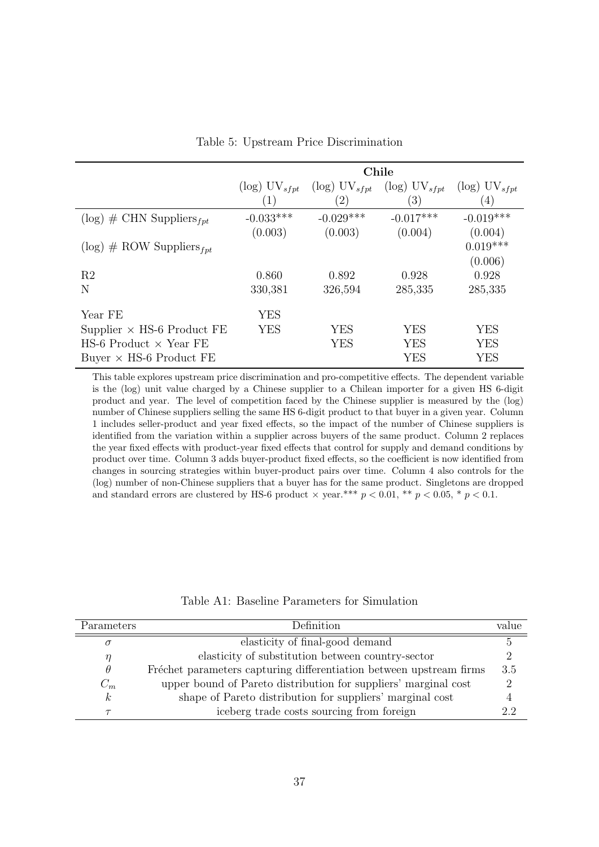<span id="page-36-1"></span>

|                                   | Chile                       |                             |                             |                             |  |  |  |
|-----------------------------------|-----------------------------|-----------------------------|-----------------------------|-----------------------------|--|--|--|
|                                   | $(\log)$ UV <sub>sfpt</sub> | $(\log)$ UV <sub>sfpt</sub> | $(\log)$ UV <sub>sfvt</sub> | $(\log)$ UV <sub>sfpt</sub> |  |  |  |
|                                   | $\mathbf{1}$                | $^{\prime}2)$               | $\left(3\right)$            | $\overline{4}$              |  |  |  |
| $(\log)$ # CHN Suppliers $_{fpt}$ | $-0.033***$                 | $-0.029***$                 | $-0.017***$                 | $-0.019***$                 |  |  |  |
|                                   | (0.003)                     | (0.003)                     | (0.004)                     | (0.004)                     |  |  |  |
| $(\log)$ # ROW Suppliers $_{fpt}$ |                             |                             |                             | $0.019***$                  |  |  |  |
|                                   |                             |                             |                             | (0.006)                     |  |  |  |
| R <sub>2</sub>                    | 0.860                       | 0.892                       | 0.928                       | 0.928                       |  |  |  |
| N                                 | 330,381                     | 326,594                     | 285,335                     | 285,335                     |  |  |  |
| Year FE                           | <b>YES</b>                  |                             |                             |                             |  |  |  |
| Supplier $\times$ HS-6 Product FE | <b>YES</b>                  | YES                         | <b>YES</b>                  | YES                         |  |  |  |
| HS-6 Product $\times$ Year FE     |                             | <b>YES</b>                  | <b>YES</b>                  | YES                         |  |  |  |
| Buyer $\times$ HS-6 Product FE    |                             |                             | YES                         | YES                         |  |  |  |

Table 5: Upstream Price Discrimination

This table explores upstream price discrimination and pro-competitive effects. The dependent variable is the (log) unit value charged by a Chinese supplier to a Chilean importer for a given HS 6-digit product and year. The level of competition faced by the Chinese supplier is measured by the (log) number of Chinese suppliers selling the same HS 6-digit product to that buyer in a given year. Column 1 includes seller-product and year fixed effects, so the impact of the number of Chinese suppliers is identified from the variation within a supplier across buyers of the same product. Column 2 replaces the year fixed effects with product-year fixed effects that control for supply and demand conditions by product over time. Column 3 adds buyer-product fixed effects, so the coefficient is now identified from changes in sourcing strategies within buyer-product pairs over time. Column 4 also controls for the (log) number of non-Chinese suppliers that a buyer has for the same product. Singletons are dropped and standard errors are clustered by HS-6 product  $\times$  year.\*\*\*  $p < 0.01$ , \*\*  $p < 0.05$ , \*  $p < 0.1$ .

<span id="page-36-0"></span>

| Parameters       | Definition                                                          | value         |
|------------------|---------------------------------------------------------------------|---------------|
|                  | elasticity of final-good demand                                     |               |
| η                | elasticity of substitution between country-sector                   |               |
| $\theta$         | Fréchet parameters capturing differentiation between upstream firms | 3.5           |
| $C_m$            | upper bound of Pareto distribution for suppliers' marginal cost     | $\mathcal{D}$ |
| $\boldsymbol{k}$ | shape of Pareto distribution for suppliers' marginal cost           |               |
|                  | iceberg trade costs sourcing from foreign                           | 2.2           |